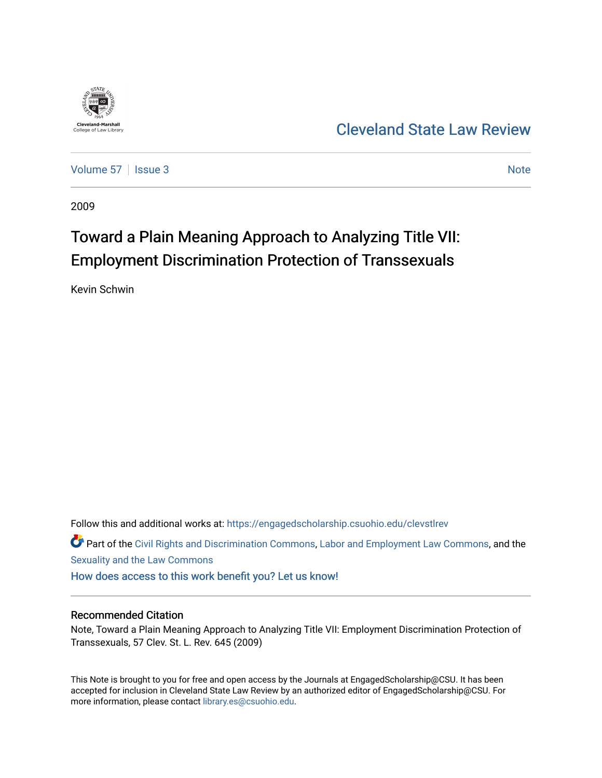

[Cleveland State Law Review](https://engagedscholarship.csuohio.edu/clevstlrev) 

[Volume 57](https://engagedscholarship.csuohio.edu/clevstlrev/vol57) | [Issue 3](https://engagedscholarship.csuohio.edu/clevstlrev/vol57/iss3) Note

2009

# Toward a Plain Meaning Approach to Analyzing Title VII: Employment Discrimination Protection of Transsexuals

Kevin Schwin

Follow this and additional works at: [https://engagedscholarship.csuohio.edu/clevstlrev](https://engagedscholarship.csuohio.edu/clevstlrev?utm_source=engagedscholarship.csuohio.edu%2Fclevstlrev%2Fvol57%2Fiss3%2F9&utm_medium=PDF&utm_campaign=PDFCoverPages)

Part of the [Civil Rights and Discrimination Commons,](http://network.bepress.com/hgg/discipline/585?utm_source=engagedscholarship.csuohio.edu%2Fclevstlrev%2Fvol57%2Fiss3%2F9&utm_medium=PDF&utm_campaign=PDFCoverPages) [Labor and Employment Law Commons](http://network.bepress.com/hgg/discipline/909?utm_source=engagedscholarship.csuohio.edu%2Fclevstlrev%2Fvol57%2Fiss3%2F9&utm_medium=PDF&utm_campaign=PDFCoverPages), and the [Sexuality and the Law Commons](http://network.bepress.com/hgg/discipline/877?utm_source=engagedscholarship.csuohio.edu%2Fclevstlrev%2Fvol57%2Fiss3%2F9&utm_medium=PDF&utm_campaign=PDFCoverPages) 

[How does access to this work benefit you? Let us know!](http://library.csuohio.edu/engaged/)

## Recommended Citation

Note, Toward a Plain Meaning Approach to Analyzing Title VII: Employment Discrimination Protection of Transsexuals, 57 Clev. St. L. Rev. 645 (2009)

This Note is brought to you for free and open access by the Journals at EngagedScholarship@CSU. It has been accepted for inclusion in Cleveland State Law Review by an authorized editor of EngagedScholarship@CSU. For more information, please contact [library.es@csuohio.edu](mailto:library.es@csuohio.edu).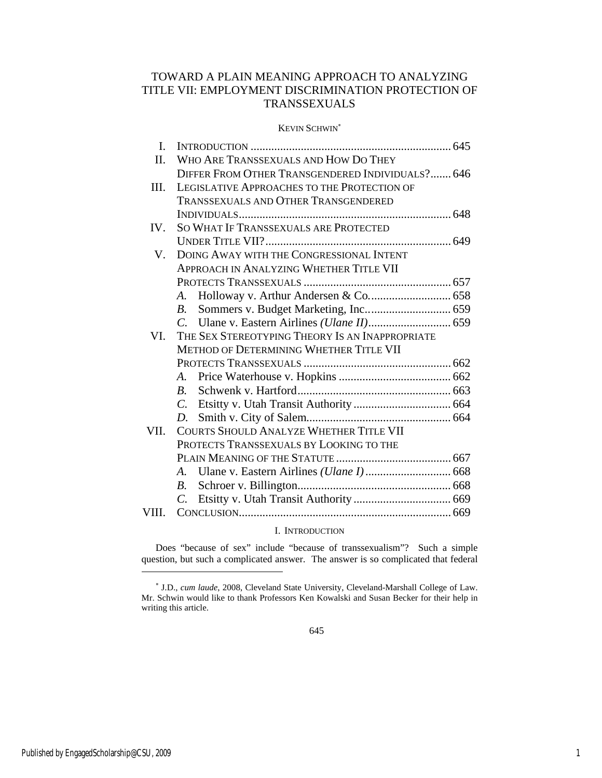## TOWARD A PLAIN MEANING APPROACH TO ANALYZING TITLE VII: EMPLOYMENT DISCRIMINATION PROTECTION OF TRANSSEXUALS

## KEVIN SCHWIN<sup>∗</sup>

| I.    |                                                  |  |
|-------|--------------------------------------------------|--|
| Π.    | WHO ARE TRANSSEXUALS AND HOW DO THEY             |  |
|       | DIFFER FROM OTHER TRANSGENDERED INDIVIDUALS? 646 |  |
| III.  | LEGISLATIVE APPROACHES TO THE PROTECTION OF      |  |
|       | <b>TRANSSEXUALS AND OTHER TRANSGENDERED</b>      |  |
|       |                                                  |  |
| IV.   | SO WHAT IF TRANSSEXUALS ARE PROTECTED            |  |
|       |                                                  |  |
| V.    | DOING AWAY WITH THE CONGRESSIONAL INTENT         |  |
|       | <b>APPROACH IN ANALYZING WHETHER TITLE VII</b>   |  |
|       |                                                  |  |
|       | Holloway v. Arthur Andersen & Co 658<br>A.       |  |
|       | B.                                               |  |
|       | $\mathcal{C}$                                    |  |
| VI.   | THE SEX STEREOTYPING THEORY IS AN INAPPROPRIATE  |  |
|       | METHOD OF DETERMINING WHETHER TITLE VII          |  |
|       |                                                  |  |
|       | A.                                               |  |
|       | $R_{-}$                                          |  |
|       | $C_{\cdot}$                                      |  |
|       | D.                                               |  |
| VII.  | <b>COURTS SHOULD ANALYZE WHETHER TITLE VII</b>   |  |
|       | PROTECTS TRANSSEXUALS BY LOOKING TO THE          |  |
|       |                                                  |  |
|       | А.                                               |  |
|       | $B_{\cdot}$                                      |  |
|       | $C_{\cdot}$                                      |  |
| VIII. |                                                  |  |
|       |                                                  |  |

## I. INTRODUCTION

Does "because of sex" include "because of transsexualism"? Such a simple question, but such a complicated answer. The answer is so complicated that federal

<sup>∗</sup> J.D., *cum laude*, 2008, Cleveland State University, Cleveland-Marshall College of Law. Mr. Schwin would like to thank Professors Ken Kowalski and Susan Becker for their help in writing this article.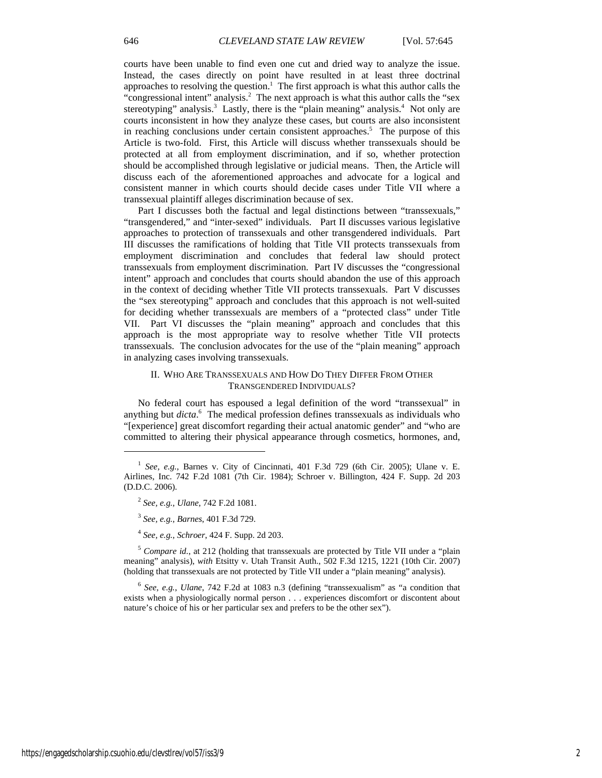courts have been unable to find even one cut and dried way to analyze the issue. Instead, the cases directly on point have resulted in at least three doctrinal approaches to resolving the question.<sup>1</sup> The first approach is what this author calls the "congressional intent" analysis.<sup>2</sup> The next approach is what this author calls the "sex stereotyping" analysis.<sup>3</sup> Lastly, there is the "plain meaning" analysis.<sup>4</sup> Not only are courts inconsistent in how they analyze these cases, but courts are also inconsistent in reaching conclusions under certain consistent approaches.<sup>5</sup> The purpose of this Article is two-fold. First, this Article will discuss whether transsexuals should be protected at all from employment discrimination, and if so, whether protection should be accomplished through legislative or judicial means. Then, the Article will discuss each of the aforementioned approaches and advocate for a logical and consistent manner in which courts should decide cases under Title VII where a transsexual plaintiff alleges discrimination because of sex.

Part I discusses both the factual and legal distinctions between "transsexuals," "transgendered," and "inter-sexed" individuals. Part II discusses various legislative approaches to protection of transsexuals and other transgendered individuals. Part III discusses the ramifications of holding that Title VII protects transsexuals from employment discrimination and concludes that federal law should protect transsexuals from employment discrimination. Part IV discusses the "congressional intent" approach and concludes that courts should abandon the use of this approach in the context of deciding whether Title VII protects transsexuals. Part V discusses the "sex stereotyping" approach and concludes that this approach is not well-suited for deciding whether transsexuals are members of a "protected class" under Title VII. Part VI discusses the "plain meaning" approach and concludes that this approach is the most appropriate way to resolve whether Title VII protects transsexuals. The conclusion advocates for the use of the "plain meaning" approach in analyzing cases involving transsexuals.

## II. WHO ARE TRANSSEXUALS AND HOW DO THEY DIFFER FROM OTHER TRANSGENDERED INDIVIDUALS?

No federal court has espoused a legal definition of the word "transsexual" in anything but *dicta*. 6 The medical profession defines transsexuals as individuals who "[experience] great discomfort regarding their actual anatomic gender" and "who are committed to altering their physical appearance through cosmetics, hormones, and,

<sup>5</sup> Compare id., at 212 (holding that transsexuals are protected by Title VII under a "plain meaning" analysis), *with* Etsitty v. Utah Transit Auth., 502 F.3d 1215, 1221 (10th Cir. 2007) (holding that transsexuals are not protected by Title VII under a "plain meaning" analysis).

<sup>6</sup> *See, e.g.*, *Ulane*, 742 F.2d at 1083 n.3 (defining "transsexualism" as "a condition that exists when a physiologically normal person . . . experiences discomfort or discontent about nature's choice of his or her particular sex and prefers to be the other sex").

 $1$  *See, e.g.*, Barnes v. City of Cincinnati, 401 F.3d 729 (6th Cir. 2005); Ulane v. E. Airlines, Inc. 742 F.2d 1081 (7th Cir. 1984); Schroer v. Billington, 424 F. Supp. 2d 203 (D.D.C. 2006).

<sup>2</sup> *See, e.g.*, *Ulane*, 742 F.2d 1081.

<sup>3</sup> *See, e.g.*, *Barnes*, 401 F.3d 729.

<sup>4</sup> *See, e.g.*, *Schroer*, 424 F. Supp. 2d 203.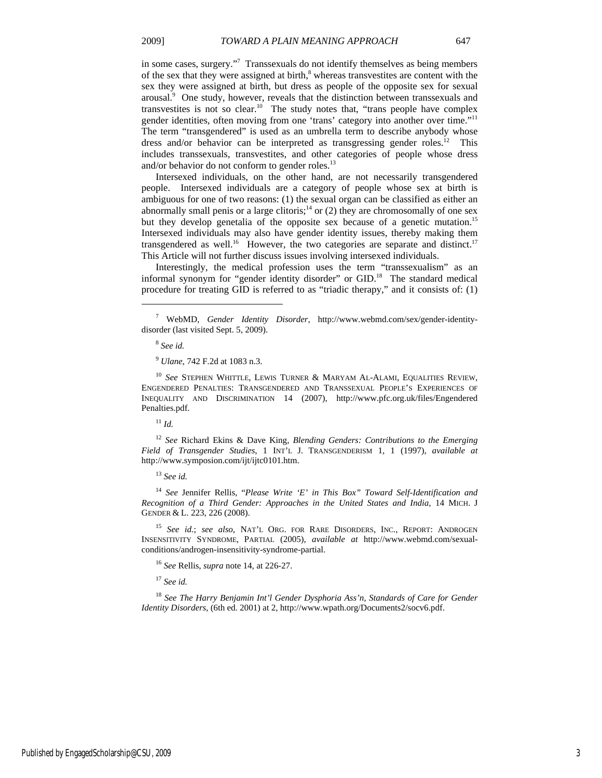in some cases, surgery."7 Transsexuals do not identify themselves as being members of the sex that they were assigned at birth, $\delta$  whereas transvestites are content with the sex they were assigned at birth, but dress as people of the opposite sex for sexual arousal.<sup>9</sup> One study, however, reveals that the distinction between transsexuals and transvestites is not so clear.<sup>10</sup> The study notes that, "trans people have complex gender identities, often moving from one 'trans' category into another over time."11 The term "transgendered" is used as an umbrella term to describe anybody whose dress and/or behavior can be interpreted as transgressing gender roles.<sup>12</sup> This includes transsexuals, transvestites, and other categories of people whose dress and/or behavior do not conform to gender roles. $^{13}$ 

Intersexed individuals, on the other hand, are not necessarily transgendered people. Intersexed individuals are a category of people whose sex at birth is ambiguous for one of two reasons: (1) the sexual organ can be classified as either an abnormally small penis or a large clitoris;<sup>14</sup> or (2) they are chromosomally of one sex but they develop genetalia of the opposite sex because of a genetic mutation.<sup>15</sup> Intersexed individuals may also have gender identity issues, thereby making them transgendered as well.<sup>16</sup> However, the two categories are separate and distinct.<sup>17</sup> This Article will not further discuss issues involving intersexed individuals.

Interestingly, the medical profession uses the term "transsexualism" as an informal synonym for "gender identity disorder" or GID.<sup>18</sup> The standard medical procedure for treating GID is referred to as "triadic therapy," and it consists of: (1)

 $\overline{a}$ 

<sup>10</sup> See STEPHEN WHITTLE, LEWIS TURNER & MARYAM AL-ALAMI, EQUALITIES REVIEW, ENGENDERED PENALTIES: TRANSGENDERED AND TRANSSEXUAL PEOPLE'S EXPERIENCES OF INEQUALITY AND DISCRIMINATION 14 (2007), http://www.pfc.org.uk/files/Engendered Penalties.pdf.

 $11 \, \mu$ 

<sup>12</sup> *See* Richard Ekins & Dave King, *Blending Genders: Contributions to the Emerging Field of Transgender Studies*, 1 INT'L J. TRANSGENDERISM 1, 1 (1997), *available at*  http://www.symposion.com/ijt/ijtc0101.htm.

<sup>13</sup> *See id.*

<sup>14</sup> *See* Jennifer Rellis, "*Please Write 'E' in This Box" Toward Self-Identification and Recognition of a Third Gender: Approaches in the United States and India*, 14 MICH. J GENDER & L. 223, 226 (2008).

<sup>15</sup> *See id.*; *see also*, NAT'L ORG. FOR RARE DISORDERS, INC., REPORT: ANDROGEN INSENSITIVITY SYNDROME, PARTIAL (2005), *available at* http://www.webmd.com/sexualconditions/androgen-insensitivity-syndrome-partial.

<sup>16</sup> *See* Rellis, *supra* note 14, at 226-27.

<sup>17</sup> *See id.*

<sup>18</sup> *See The Harry Benjamin Int'l Gender Dysphoria Ass'n, Standards of Care for Gender Identity Disorders*, (6th ed. 2001) at 2, http://www.wpath.org/Documents2/socv6.pdf.

<sup>7</sup> WebMD, *Gender Identity Disorder*, http://www.webmd.com/sex/gender-identitydisorder (last visited Sept. 5, 2009).

<sup>8</sup> *See id.*

<sup>9</sup> *Ulane*, 742 F.2d at 1083 n.3.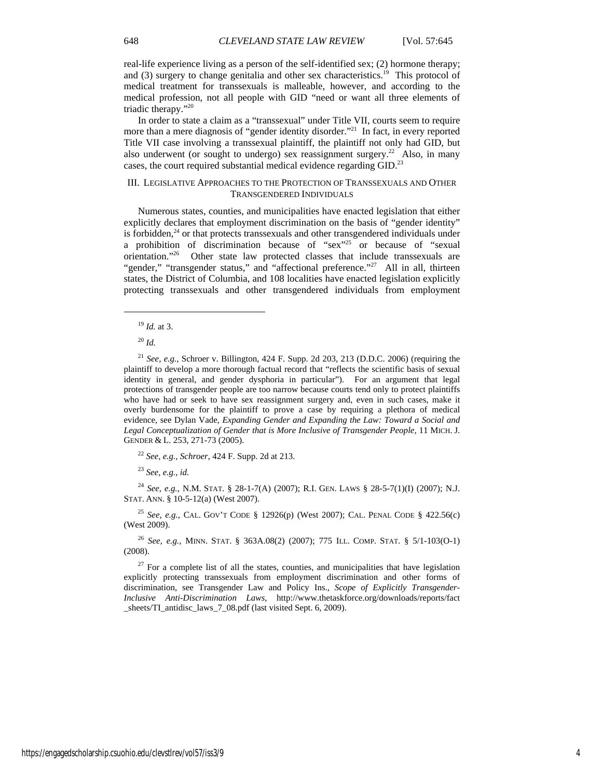real-life experience living as a person of the self-identified sex; (2) hormone therapy; and  $(3)$  surgery to change genitalia and other sex characteristics.<sup>19</sup> This protocol of medical treatment for transsexuals is malleable, however, and according to the medical profession, not all people with GID "need or want all three elements of triadic therapy."20

In order to state a claim as a "transsexual" under Title VII, courts seem to require more than a mere diagnosis of "gender identity disorder."<sup>21</sup> In fact, in every reported Title VII case involving a transsexual plaintiff, the plaintiff not only had GID, but also underwent (or sought to undergo) sex reassignment surgery.<sup>22</sup> Also, in many cases, the court required substantial medical evidence regarding GID.<sup>23</sup>

## III. LEGISLATIVE APPROACHES TO THE PROTECTION OF TRANSSEXUALS AND OTHER TRANSGENDERED INDIVIDUALS

Numerous states, counties, and municipalities have enacted legislation that either explicitly declares that employment discrimination on the basis of "gender identity" is forbidden,<sup>24</sup> or that protects transsexuals and other transgendered individuals under a prohibition of discrimination because of "sex"<sup>25</sup> or because of "sexual orientation."26 Other state law protected classes that include transsexuals are "gender," "transgender status," and "affectional preference."<sup>27</sup> All in all, thirteen states, the District of Columbia, and 108 localities have enacted legislation explicitly protecting transsexuals and other transgendered individuals from employment

 $\overline{a}$ 

<sup>22</sup> *See, e.g.*, *Schroer*, 424 F. Supp. 2d at 213.

<sup>23</sup> *See, e.g.*, *id.*

<sup>24</sup> *See, e.g.*, N.M. STAT. § 28-1-7(A) (2007); R.I. GEN. LAWS § 28-5-7(1)(I) (2007); N.J. STAT. ANN. § 10-5-12(a) (West 2007).

<sup>25</sup> *See, e.g.*, CAL. GOV'T CODE § 12926(p) (West 2007); CAL. PENAL CODE § 422.56(c) (West 2009).

<sup>26</sup> *See, e.g.*, MINN. STAT. § 363A.08(2) (2007); 775 ILL. COMP. STAT. § 5/1-103(O-1) (2008).

 $27$  For a complete list of all the states, counties, and municipalities that have legislation explicitly protecting transsexuals from employment discrimination and other forms of discrimination, see Transgender Law and Policy Ins., *Scope of Explicitly Transgender-Inclusive Anti-Discrimination Laws*, http://www.thetaskforce.org/downloads/reports/fact \_sheets/TI\_antidisc\_laws\_7\_08.pdf (last visited Sept. 6, 2009).

<sup>19</sup> *Id.* at 3.

<sup>20</sup> *Id.*

<sup>21</sup> *See, e.g.*, Schroer v. Billington, 424 F. Supp. 2d 203, 213 (D.D.C. 2006) (requiring the plaintiff to develop a more thorough factual record that "reflects the scientific basis of sexual identity in general, and gender dysphoria in particular"). For an argument that legal protections of transgender people are too narrow because courts tend only to protect plaintiffs who have had or seek to have sex reassignment surgery and, even in such cases, make it overly burdensome for the plaintiff to prove a case by requiring a plethora of medical evidence, see Dylan Vade, *Expanding Gender and Expanding the Law: Toward a Social and Legal Conceptualization of Gender that is More Inclusive of Transgender People*, 11 MICH. J. GENDER & L. 253, 271-73 (2005).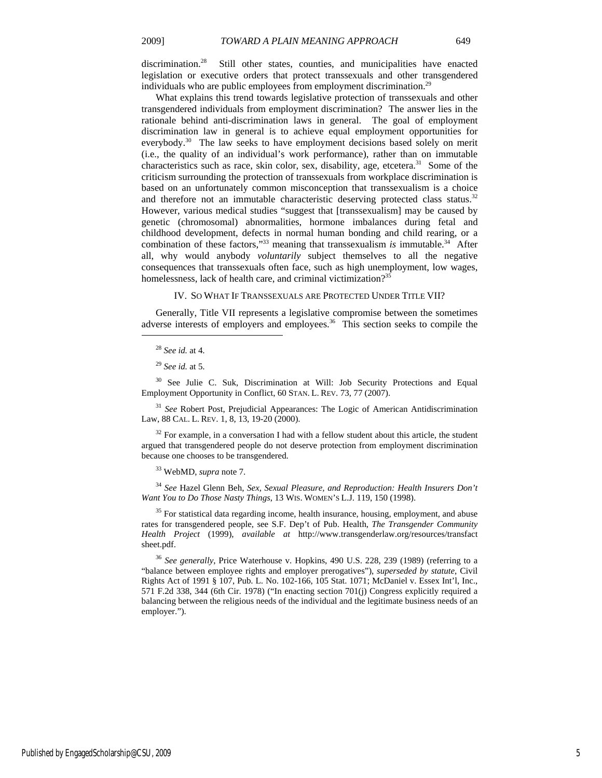discrimination.<sup>28</sup> Still other states, counties, and municipalities have enacted legislation or executive orders that protect transsexuals and other transgendered individuals who are public employees from employment discrimination.<sup>29</sup>

What explains this trend towards legislative protection of transsexuals and other transgendered individuals from employment discrimination? The answer lies in the rationale behind anti-discrimination laws in general. The goal of employment discrimination law in general is to achieve equal employment opportunities for everybody.<sup>30</sup> The law seeks to have employment decisions based solely on merit (i.e., the quality of an individual's work performance), rather than on immutable characteristics such as race, skin color, sex, disability, age, etcetera.<sup>31</sup> Some of the criticism surrounding the protection of transsexuals from workplace discrimination is based on an unfortunately common misconception that transsexualism is a choice and therefore not an immutable characteristic deserving protected class status.<sup>32</sup> However, various medical studies "suggest that [transsexualism] may be caused by genetic (chromosomal) abnormalities, hormone imbalances during fetal and childhood development, defects in normal human bonding and child rearing, or a combination of these factors,"<sup>33</sup> meaning that transsexualism *is* immutable. $34$  After all, why would anybody *voluntarily* subject themselves to all the negative consequences that transsexuals often face, such as high unemployment, low wages, homelessness, lack of health care, and criminal victimization?<sup>35</sup>

#### IV. SO WHAT IF TRANSSEXUALS ARE PROTECTED UNDER TITLE VII?

Generally, Title VII represents a legislative compromise between the sometimes adverse interests of employers and employees.<sup>36</sup> This section seeks to compile the

 $\overline{a}$ 

<sup>30</sup> See Julie C. Suk, Discrimination at Will: Job Security Protections and Equal Employment Opportunity in Conflict, 60 STAN. L. REV. 73, 77 (2007).

<sup>31</sup> *See* Robert Post, Prejudicial Appearances: The Logic of American Antidiscrimination Law, 88 CAL. L. REV. 1, 8, 13, 19-20 (2000).

 $32$  For example, in a conversation I had with a fellow student about this article, the student argued that transgendered people do not deserve protection from employment discrimination because one chooses to be transgendered.

33 WebMD, *supra* note 7.

<sup>34</sup> *See* Hazel Glenn Beh, *Sex, Sexual Pleasure, and Reproduction: Health Insurers Don't Want You to Do Those Nasty Things*, 13 WIS. WOMEN'S L.J. 119, 150 (1998).

<sup>35</sup> For statistical data regarding income, health insurance, housing, employment, and abuse rates for transgendered people, see S.F. Dep't of Pub. Health, *The Transgender Community Health Project* (1999), *available at* http://www.transgenderlaw.org/resources/transfact sheet.pdf.

<sup>36</sup> *See generally*, Price Waterhouse v. Hopkins, 490 U.S. 228, 239 (1989) (referring to a "balance between employee rights and employer prerogatives"), *superseded by statute*, Civil Rights Act of 1991 § 107, Pub. L. No. 102-166, 105 Stat. 1071; McDaniel v. Essex Int'l, Inc., 571 F.2d 338, 344 (6th Cir. 1978) ("In enacting section 701(j) Congress explicitly required a balancing between the religious needs of the individual and the legitimate business needs of an employer.").

<sup>28</sup> *See id.* at 4.

<sup>29</sup> *See id.* at 5.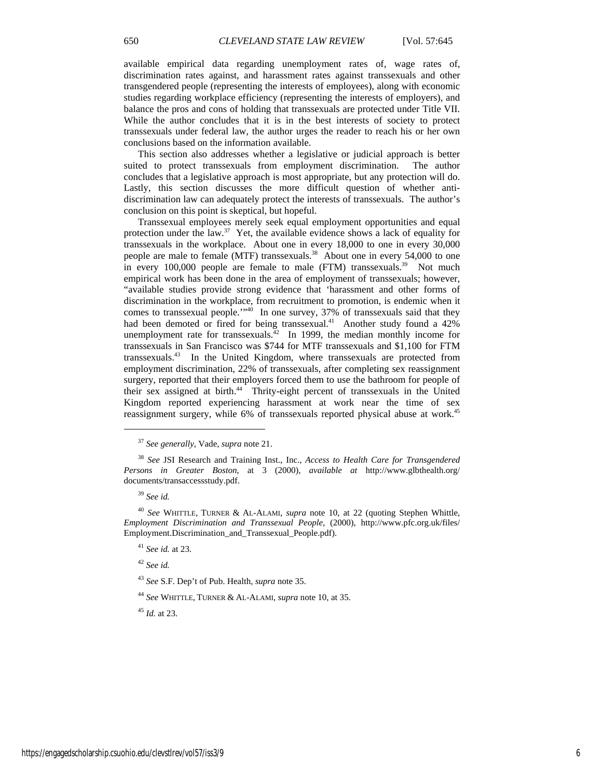This section also addresses whether a legislative or judicial approach is better suited to protect transsexuals from employment discrimination. The author concludes that a legislative approach is most appropriate, but any protection will do. Lastly, this section discusses the more difficult question of whether antidiscrimination law can adequately protect the interests of transsexuals. The author's conclusion on this point is skeptical, but hopeful.

Transsexual employees merely seek equal employment opportunities and equal protection under the law.<sup>37</sup> Yet, the available evidence shows a lack of equality for transsexuals in the workplace. About one in every 18,000 to one in every 30,000 people are male to female (MTF) transsexuals.<sup>38</sup> About one in every 54,000 to one in every  $100,000$  people are female to male (FTM) transsexuals.<sup>39</sup> Not much empirical work has been done in the area of employment of transsexuals; however, "available studies provide strong evidence that 'harassment and other forms of discrimination in the workplace, from recruitment to promotion, is endemic when it comes to transsexual people.'"40 In one survey, 37% of transsexuals said that they had been demoted or fired for being transsexual.<sup>41</sup> Another study found a 42% unemployment rate for transsexuals.<sup>42</sup> In 1999, the median monthly income for transsexuals in San Francisco was \$744 for MTF transsexuals and \$1,100 for FTM transsexuals.43 In the United Kingdom, where transsexuals are protected from employment discrimination, 22% of transsexuals, after completing sex reassignment surgery, reported that their employers forced them to use the bathroom for people of their sex assigned at birth.<sup>44</sup> Thrity-eight percent of transsexuals in the United Kingdom reported experiencing harassment at work near the time of sex reassignment surgery, while 6% of transsexuals reported physical abuse at work.<sup>45</sup>

 $\overline{a}$ 

<sup>42</sup> *See id.*

<sup>43</sup> *See* S.F. Dep't of Pub. Health, *supra* note 35.

<sup>44</sup> *See* WHITTLE, TURNER & AL-ALAMI, *supra* note 10, at 35.

<sup>45</sup> *Id.* at 23.

<sup>37</sup> *See generally*, Vade, *supra* note 21.

<sup>38</sup> *See* JSI Research and Training Inst., Inc., *Access to Health Care for Transgendered Persons in Greater Boston*, at 3 (2000), *available at* http://www.glbthealth.org/ documents/transaccessstudy.pdf.

<sup>39</sup> *See id.*

<sup>40</sup> *See* WHITTLE, TURNER & AL-ALAMI, *supra* note 10, at 22 (quoting Stephen Whittle, *Employment Discrimination and Transsexual People*, (2000), http://www.pfc.org.uk/files/ Employment.Discrimination\_and\_Transsexual\_People.pdf).

<sup>41</sup> *See id.* at 23.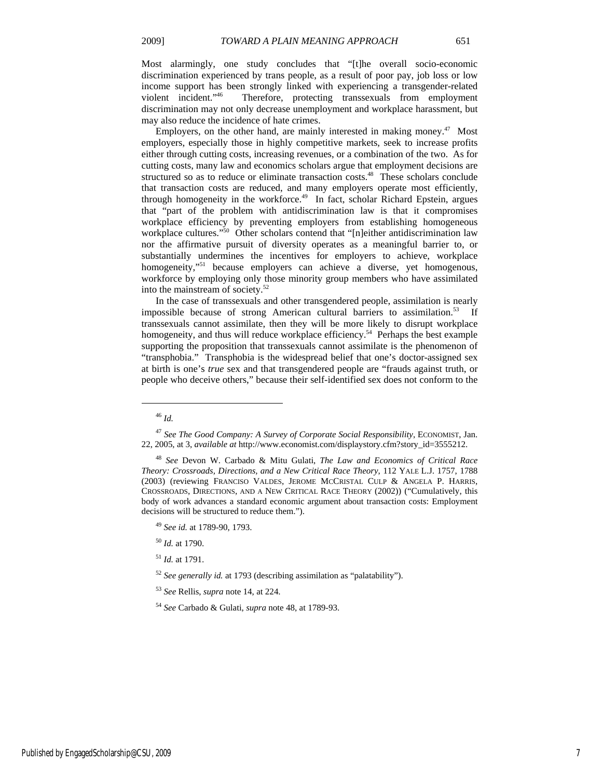Most alarmingly, one study concludes that "[t]he overall socio-economic discrimination experienced by trans people, as a result of poor pay, job loss or low income support has been strongly linked with experiencing a transgender-related violent incident."<sup>46</sup> Therefore, protecting transsexuals from employment Therefore, protecting transsexuals from employment discrimination may not only decrease unemployment and workplace harassment, but may also reduce the incidence of hate crimes.

Employers, on the other hand, are mainly interested in making money.<sup>47</sup> Most employers, especially those in highly competitive markets, seek to increase profits either through cutting costs, increasing revenues, or a combination of the two. As for cutting costs, many law and economics scholars argue that employment decisions are structured so as to reduce or eliminate transaction costs.<sup>48</sup> These scholars conclude that transaction costs are reduced, and many employers operate most efficiently, through homogeneity in the workforce.<sup>49</sup> In fact, scholar Richard Epstein, argues that "part of the problem with antidiscrimination law is that it compromises workplace efficiency by preventing employers from establishing homogeneous workplace cultures."<sup>50</sup> Other scholars contend that "[n]either antidiscrimination law nor the affirmative pursuit of diversity operates as a meaningful barrier to, or substantially undermines the incentives for employers to achieve, workplace homogeneity,"<sup>51</sup> because employers can achieve a diverse, yet homogenous, workforce by employing only those minority group members who have assimilated into the mainstream of society.52

In the case of transsexuals and other transgendered people, assimilation is nearly impossible because of strong American cultural barriers to assimilation.<sup>53</sup> If transsexuals cannot assimilate, then they will be more likely to disrupt workplace homogeneity, and thus will reduce workplace efficiency.<sup>54</sup> Perhaps the best example supporting the proposition that transsexuals cannot assimilate is the phenomenon of "transphobia." Transphobia is the widespread belief that one's doctor-assigned sex at birth is one's *true* sex and that transgendered people are "frauds against truth, or people who deceive others," because their self-identified sex does not conform to the

<sup>46</sup> *Id.*

<sup>47</sup> *See The Good Company: A Survey of Corporate Social Responsibility*, ECONOMIST, Jan. 22, 2005, at 3, *available at* http://www.economist.com/displaystory.cfm?story\_id=3555212.

<sup>48</sup> *See* Devon W. Carbado & Mitu Gulati, *The Law and Economics of Critical Race Theory: Crossroads, Directions, and a New Critical Race Theory*, 112 YALE L.J. 1757, 1788 (2003) (reviewing FRANCISO VALDES, JEROME MCCRISTAL CULP & ANGELA P. HARRIS, CROSSROADS, DIRECTIONS, AND A NEW CRITICAL RACE THEORY (2002)) ("Cumulatively, this body of work advances a standard economic argument about transaction costs: Employment decisions will be structured to reduce them.").

<sup>49</sup> *See id.* at 1789-90, 1793.

<sup>50</sup> *Id.* at 1790.

<sup>51</sup> *Id.* at 1791.

<sup>52</sup> *See generally id.* at 1793 (describing assimilation as "palatability").

<sup>53</sup> *See* Rellis, *supra* note 14, at 224.

<sup>54</sup> *See* Carbado & Gulati, *supra* note 48, at 1789-93.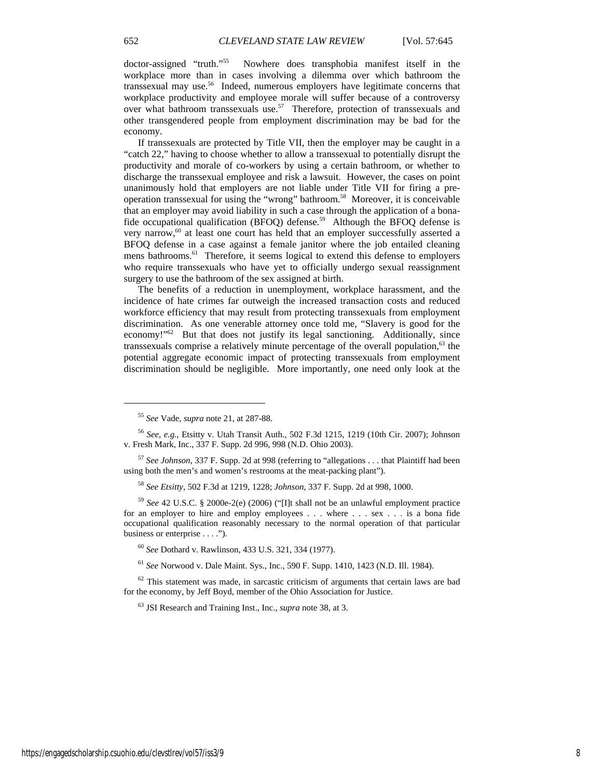doctor-assigned "truth."55 Nowhere does transphobia manifest itself in the workplace more than in cases involving a dilemma over which bathroom the transsexual may use.<sup>56</sup> Indeed, numerous employers have legitimate concerns that workplace productivity and employee morale will suffer because of a controversy over what bathroom transsexuals use.<sup>57</sup> Therefore, protection of transsexuals and other transgendered people from employment discrimination may be bad for the economy.

If transsexuals are protected by Title VII, then the employer may be caught in a "catch 22," having to choose whether to allow a transsexual to potentially disrupt the productivity and morale of co-workers by using a certain bathroom, or whether to discharge the transsexual employee and risk a lawsuit. However, the cases on point unanimously hold that employers are not liable under Title VII for firing a preoperation transsexual for using the "wrong" bathroom.58 Moreover, it is conceivable that an employer may avoid liability in such a case through the application of a bonafide occupational qualification (BFOQ) defense.59 Although the BFOQ defense is very narrow,<sup>60</sup> at least one court has held that an employer successfully asserted a BFOQ defense in a case against a female janitor where the job entailed cleaning mens bathrooms.<sup>61</sup> Therefore, it seems logical to extend this defense to employers who require transsexuals who have yet to officially undergo sexual reassignment surgery to use the bathroom of the sex assigned at birth.

The benefits of a reduction in unemployment, workplace harassment, and the incidence of hate crimes far outweigh the increased transaction costs and reduced workforce efficiency that may result from protecting transsexuals from employment discrimination. As one venerable attorney once told me, "Slavery is good for the economy!"<sup>62</sup> But that does not justify its legal sanctioning. Additionally, since transsexuals comprise a relatively minute percentage of the overall population, $63$  the potential aggregate economic impact of protecting transsexuals from employment discrimination should be negligible. More importantly, one need only look at the

<sup>60</sup> *See* Dothard v. Rawlinson, 433 U.S. 321, 334 (1977).

<sup>61</sup> *See* Norwood v. Dale Maint. Sys., Inc., 590 F. Supp. 1410, 1423 (N.D. Ill. 1984).

 $62$  This statement was made, in sarcastic criticism of arguments that certain laws are bad for the economy, by Jeff Boyd, member of the Ohio Association for Justice.

<sup>55</sup> *See* Vade, *supra* note 21, at 287-88.

<sup>56</sup> *See, e.g.*, Etsitty v. Utah Transit Auth., 502 F.3d 1215, 1219 (10th Cir. 2007); Johnson v. Fresh Mark, Inc., 337 F. Supp. 2d 996, 998 (N.D. Ohio 2003).

<sup>57</sup> *See Johnson*, 337 F. Supp. 2d at 998 (referring to "allegations . . . that Plaintiff had been using both the men's and women's restrooms at the meat-packing plant").

<sup>58</sup> *See Etsitty*, 502 F.3d at 1219, 1228; *Johnson*, 337 F. Supp. 2d at 998, 1000.

<sup>59</sup> *See* 42 U.S.C. § 2000e-2(e) (2006) ("[I]t shall not be an unlawful employment practice for an employer to hire and employ employees . . . where . . . sex . . . is a bona fide occupational qualification reasonably necessary to the normal operation of that particular business or enterprise . . . .").

<sup>63</sup> JSI Research and Training Inst., Inc., *supra* note 38, at 3.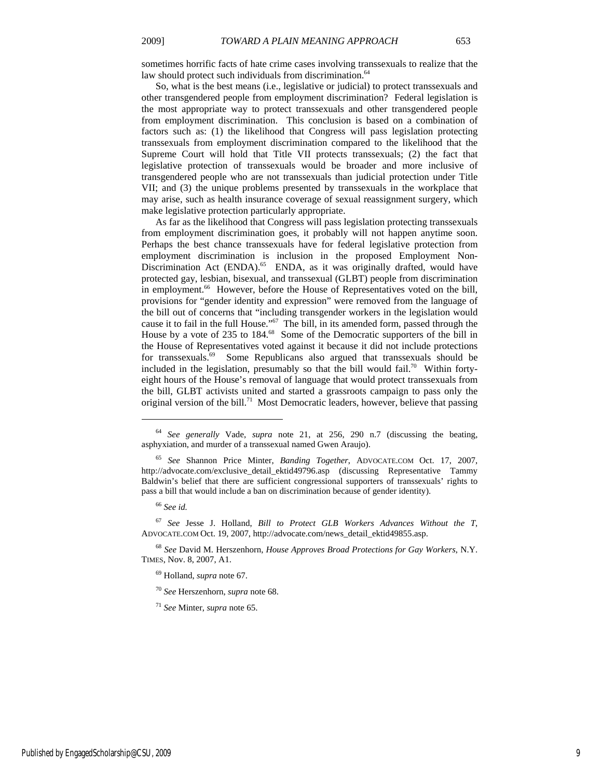So, what is the best means (i.e., legislative or judicial) to protect transsexuals and other transgendered people from employment discrimination? Federal legislation is the most appropriate way to protect transsexuals and other transgendered people from employment discrimination. This conclusion is based on a combination of factors such as: (1) the likelihood that Congress will pass legislation protecting transsexuals from employment discrimination compared to the likelihood that the Supreme Court will hold that Title VII protects transsexuals; (2) the fact that legislative protection of transsexuals would be broader and more inclusive of transgendered people who are not transsexuals than judicial protection under Title VII; and (3) the unique problems presented by transsexuals in the workplace that may arise, such as health insurance coverage of sexual reassignment surgery, which make legislative protection particularly appropriate.

As far as the likelihood that Congress will pass legislation protecting transsexuals from employment discrimination goes, it probably will not happen anytime soon. Perhaps the best chance transsexuals have for federal legislative protection from employment discrimination is inclusion in the proposed Employment Non-Discrimination Act  $(ENDA)$ .<sup>65</sup> ENDA, as it was originally drafted, would have protected gay, lesbian, bisexual, and transsexual (GLBT) people from discrimination in employment.<sup>66</sup> However, before the House of Representatives voted on the bill, provisions for "gender identity and expression" were removed from the language of the bill out of concerns that "including transgender workers in the legislation would cause it to fail in the full House."67 The bill, in its amended form, passed through the House by a vote of 235 to 184.<sup>68</sup> Some of the Democratic supporters of the bill in the House of Representatives voted against it because it did not include protections for transsexuals.<sup>69</sup> Some Republicans also argued that transsexuals should be included in the legislation, presumably so that the bill would fail.<sup>70</sup> Within fortyeight hours of the House's removal of language that would protect transsexuals from the bill, GLBT activists united and started a grassroots campaign to pass only the original version of the bill.<sup>71</sup> Most Democratic leaders, however, believe that passing

 $\overline{a}$ 

69 Holland, *supra* note 67.

<sup>70</sup> *See* Herszenhorn, *supra* note 68.

<sup>71</sup> *See* Minter, *supra* note 65.

<sup>64</sup> *See generally* Vade, *supra* note 21, at 256, 290 n.7 (discussing the beating, asphyxiation, and murder of a transsexual named Gwen Araujo).

<sup>65</sup> *See* Shannon Price Minter, *Banding Together*, ADVOCATE.COM Oct. 17, 2007, http://advocate.com/exclusive\_detail\_ektid49796.asp (discussing Representative Tammy Baldwin's belief that there are sufficient congressional supporters of transsexuals' rights to pass a bill that would include a ban on discrimination because of gender identity).

<sup>66</sup> *See id.*

<sup>67</sup> *See* Jesse J. Holland, *Bill to Protect GLB Workers Advances Without the T*, ADVOCATE.COM Oct. 19, 2007, http://advocate.com/news\_detail\_ektid49855.asp.

<sup>68</sup> *See* David M. Herszenhorn, *House Approves Broad Protections for Gay Workers*, N.Y. TIMES, Nov. 8, 2007, A1.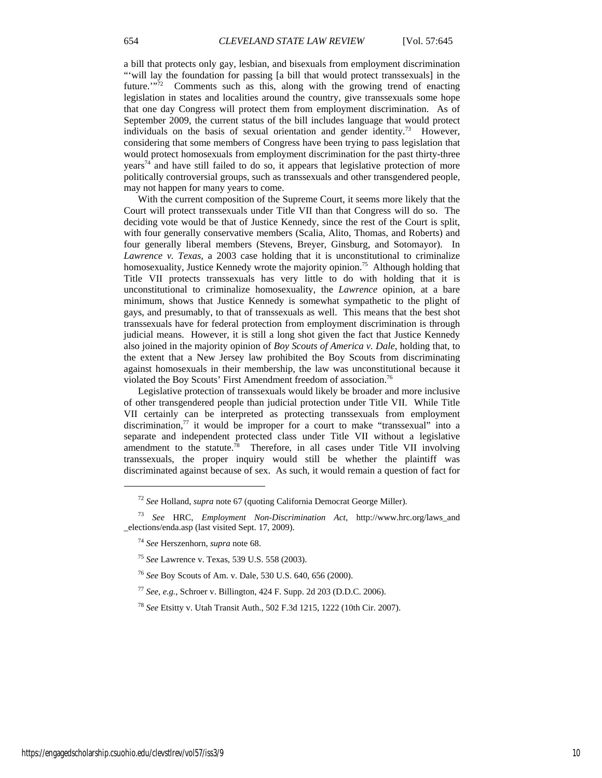a bill that protects only gay, lesbian, and bisexuals from employment discrimination "'will lay the foundation for passing [a bill that would protect transsexuals] in the future. $\sqrt{n^2}$  Comments such as this, along with the growing trend of enacting legislation in states and localities around the country, give transsexuals some hope that one day Congress will protect them from employment discrimination. As of September 2009, the current status of the bill includes language that would protect individuals on the basis of sexual orientation and gender identity.<sup>73</sup> However, considering that some members of Congress have been trying to pass legislation that would protect homosexuals from employment discrimination for the past thirty-three  $years<sup>74</sup>$  and have still failed to do so, it appears that legislative protection of more politically controversial groups, such as transsexuals and other transgendered people, may not happen for many years to come.

With the current composition of the Supreme Court, it seems more likely that the Court will protect transsexuals under Title VII than that Congress will do so. The deciding vote would be that of Justice Kennedy, since the rest of the Court is split, with four generally conservative members (Scalia, Alito, Thomas, and Roberts) and four generally liberal members (Stevens, Breyer, Ginsburg, and Sotomayor). In *Lawrence v. Texas*, a 2003 case holding that it is unconstitutional to criminalize homosexuality, Justice Kennedy wrote the majority opinion.<sup>75</sup> Although holding that Title VII protects transsexuals has very little to do with holding that it is unconstitutional to criminalize homosexuality, the *Lawrence* opinion, at a bare minimum, shows that Justice Kennedy is somewhat sympathetic to the plight of gays, and presumably, to that of transsexuals as well. This means that the best shot transsexuals have for federal protection from employment discrimination is through judicial means. However, it is still a long shot given the fact that Justice Kennedy also joined in the majority opinion of *Boy Scouts of America v. Dale*, holding that, to the extent that a New Jersey law prohibited the Boy Scouts from discriminating against homosexuals in their membership, the law was unconstitutional because it violated the Boy Scouts' First Amendment freedom of association.<sup>76</sup>

Legislative protection of transsexuals would likely be broader and more inclusive of other transgendered people than judicial protection under Title VII. While Title VII certainly can be interpreted as protecting transsexuals from employment discrimination, $7\pi$  it would be improper for a court to make "transsexual" into a separate and independent protected class under Title VII without a legislative amendment to the statute.<sup>78</sup> Therefore, in all cases under Title VII involving transsexuals, the proper inquiry would still be whether the plaintiff was discriminated against because of sex. As such, it would remain a question of fact for

<sup>76</sup> *See* Boy Scouts of Am. v. Dale, 530 U.S. 640, 656 (2000).

<sup>77</sup> *See, e.g.*, Schroer v. Billington, 424 F. Supp. 2d 203 (D.D.C. 2006).

<sup>72</sup> *See* Holland, *supra* note 67 (quoting California Democrat George Miller).

<sup>73</sup> *See* HRC, *Employment Non-Discrimination Act*, http://www.hrc.org/laws\_and \_elections/enda.asp (last visited Sept. 17, 2009).

<sup>74</sup> *See* Herszenhorn, *supra* note 68.

<sup>75</sup> *See* Lawrence v. Texas, 539 U.S. 558 (2003).

<sup>78</sup> *See* Etsitty v. Utah Transit Auth., 502 F.3d 1215, 1222 (10th Cir. 2007).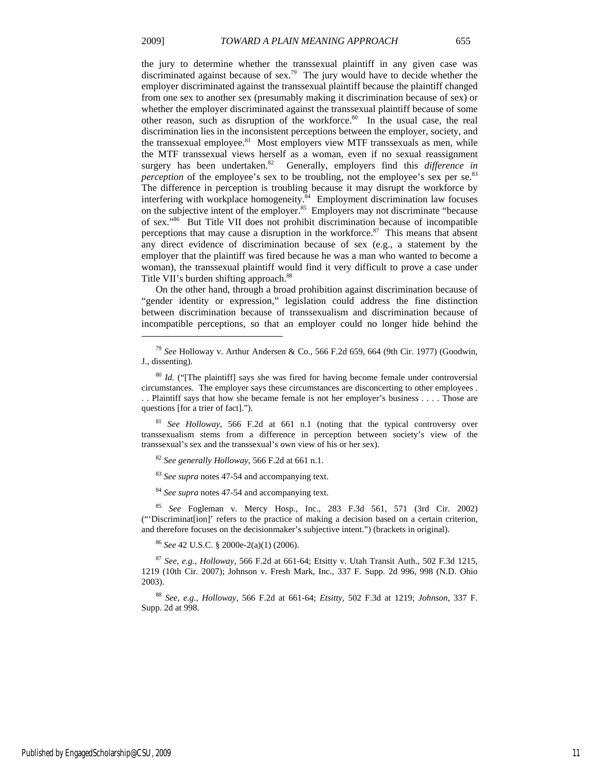$\overline{a}$ 

the jury to determine whether the transsexual plaintiff in any given case was discriminated against because of sex.<sup>79</sup> The jury would have to decide whether the employer discriminated against the transsexual plaintiff because the plaintiff changed from one sex to another sex (presumably making it discrimination because of sex) or whether the employer discriminated against the transsexual plaintiff because of some other reason, such as disruption of the workforce.<sup>80</sup> In the usual case, the real discrimination lies in the inconsistent perceptions between the employer, society, and the transsexual employee. $81$  Most employers view MTF transsexuals as men, while the MTF transsexual views herself as a woman, even if no sexual reassignment surgery has been undertaken.<sup>82</sup> Generally, employers find this *difference in perception* of the employee's sex to be troubling, not the employee's sex per se.<sup>83</sup> The difference in perception is troubling because it may disrupt the workforce by interfering with workplace homogeneity. $84$  Employment discrimination law focuses on the subjective intent of the employer.<sup>85</sup> Employers may not discriminate "because" of sex."86 But Title VII does not prohibit discrimination because of incompatible perceptions that may cause a disruption in the workforce. $87$  This means that absent any direct evidence of discrimination because of sex (e.g., a statement by the employer that the plaintiff was fired because he was a man who wanted to become a woman), the transsexual plaintiff would find it very difficult to prove a case under Title VII's burden shifting approach.<sup>88</sup>

On the other hand, through a broad prohibition against discrimination because of "gender identity or expression," legislation could address the fine distinction between discrimination because of transsexualism and discrimination because of incompatible perceptions, so that an employer could no longer hide behind the

<sup>81</sup> *See Holloway*, 566 F.2d at 661 n.1 (noting that the typical controversy over transsexualism stems from a difference in perception between society's view of the transsexual's sex and the transsexual's own view of his or her sex).

<sup>82</sup> *See generally Holloway*, 566 F.2d at 661 n.1.

<sup>83</sup> *See supra* notes 47-54 and accompanying text.

<sup>84</sup> *See supra* notes 47-54 and accompanying text.

<sup>85</sup> *See* Fogleman v. Mercy Hosp., Inc., 283 F.3d 561, 571 (3rd Cir. 2002) ("'Discriminat[ion]' refers to the practice of making a decision based on a certain criterion, and therefore focuses on the decisionmaker's subjective intent.") (brackets in original).

<sup>86</sup> *See* 42 U.S.C. § 2000e-2(a)(1) (2006).

<sup>87</sup> *See, e.g.*, *Holloway*, 566 F.2d at 661-64; Etsitty v. Utah Transit Auth., 502 F.3d 1215, 1219 (10th Cir. 2007); Johnson v. Fresh Mark, Inc., 337 F. Supp. 2d 996, 998 (N.D. Ohio 2003).

<sup>88</sup> *See, e.g.*, *Holloway*, 566 F.2d at 661-64; *Etsitty*, 502 F.3d at 1219; *Johnson*, 337 F. Supp. 2d at 998.

<sup>79</sup> *See* Holloway v. Arthur Andersen & Co., 566 F.2d 659, 664 (9th Cir. 1977) (Goodwin, J., dissenting).

<sup>80</sup> *Id.* ("[The plaintiff] says she was fired for having become female under controversial circumstances. The employer says these circumstances are disconcerting to other employees . . . Plaintiff says that how she became female is not her employer's business . . . . Those are questions [for a trier of fact].").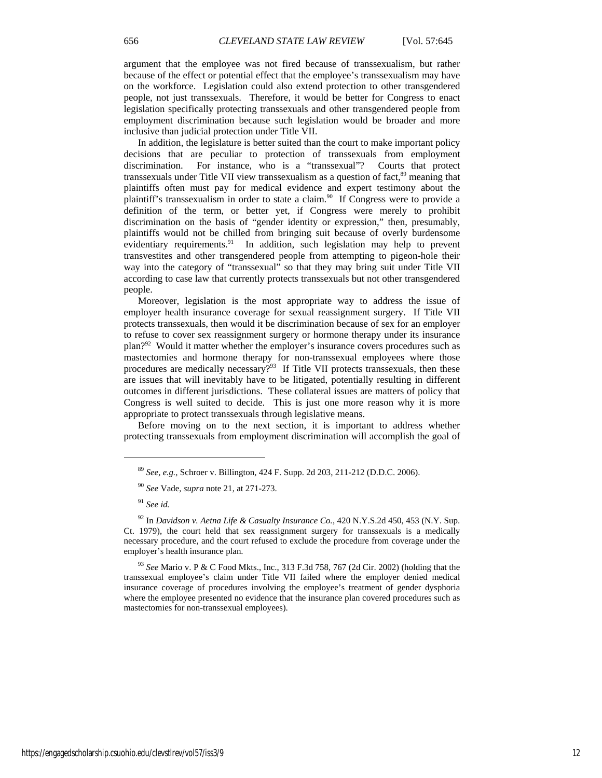argument that the employee was not fired because of transsexualism, but rather because of the effect or potential effect that the employee's transsexualism may have on the workforce. Legislation could also extend protection to other transgendered people, not just transsexuals. Therefore, it would be better for Congress to enact legislation specifically protecting transsexuals and other transgendered people from employment discrimination because such legislation would be broader and more inclusive than judicial protection under Title VII.

In addition, the legislature is better suited than the court to make important policy decisions that are peculiar to protection of transsexuals from employment discrimination. For instance, who is a "transsexual"? Courts that protect transsexuals under Title VII view transsexualism as a question of fact,<sup>89</sup> meaning that plaintiffs often must pay for medical evidence and expert testimony about the plaintiff's transsexualism in order to state a claim.<sup>90</sup> If Congress were to provide a definition of the term, or better yet, if Congress were merely to prohibit discrimination on the basis of "gender identity or expression," then, presumably, plaintiffs would not be chilled from bringing suit because of overly burdensome evidentiary requirements.<sup>91</sup> In addition, such legislation may help to prevent transvestites and other transgendered people from attempting to pigeon-hole their way into the category of "transsexual" so that they may bring suit under Title VII according to case law that currently protects transsexuals but not other transgendered people.

Moreover, legislation is the most appropriate way to address the issue of employer health insurance coverage for sexual reassignment surgery. If Title VII protects transsexuals, then would it be discrimination because of sex for an employer to refuse to cover sex reassignment surgery or hormone therapy under its insurance plan?<sup>92</sup> Would it matter whether the employer's insurance covers procedures such as mastectomies and hormone therapy for non-transsexual employees where those procedures are medically necessary? $93$  If Title VII protects transsexuals, then these are issues that will inevitably have to be litigated, potentially resulting in different outcomes in different jurisdictions. These collateral issues are matters of policy that Congress is well suited to decide. This is just one more reason why it is more appropriate to protect transsexuals through legislative means.

Before moving on to the next section, it is important to address whether protecting transsexuals from employment discrimination will accomplish the goal of

<sup>89</sup> *See, e.g.*, Schroer v. Billington, 424 F. Supp. 2d 203, 211-212 (D.D.C. 2006).

<sup>90</sup> *See* Vade, *supra* note 21, at 271-273.

<sup>91</sup> *See id.*

<sup>92</sup> In *Davidson v. Aetna Life & Casualty Insurance Co.*, 420 N.Y.S.2d 450, 453 (N.Y. Sup. Ct. 1979), the court held that sex reassignment surgery for transsexuals is a medically necessary procedure, and the court refused to exclude the procedure from coverage under the employer's health insurance plan.

<sup>93</sup> *See* Mario v. P & C Food Mkts., Inc., 313 F.3d 758, 767 (2d Cir. 2002) (holding that the transsexual employee's claim under Title VII failed where the employer denied medical insurance coverage of procedures involving the employee's treatment of gender dysphoria where the employee presented no evidence that the insurance plan covered procedures such as mastectomies for non-transsexual employees).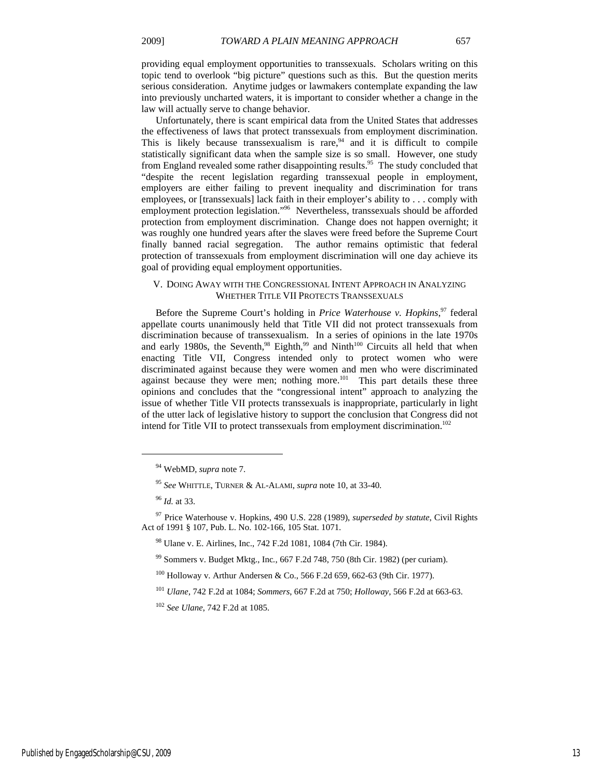providing equal employment opportunities to transsexuals. Scholars writing on this topic tend to overlook "big picture" questions such as this. But the question merits serious consideration. Anytime judges or lawmakers contemplate expanding the law into previously uncharted waters, it is important to consider whether a change in the law will actually serve to change behavior.

Unfortunately, there is scant empirical data from the United States that addresses the effectiveness of laws that protect transsexuals from employment discrimination. This is likely because transsexualism is rare,  $94$  and it is difficult to compile statistically significant data when the sample size is so small. However, one study from England revealed some rather disappointing results.<sup>95</sup> The study concluded that "despite the recent legislation regarding transsexual people in employment, employers are either failing to prevent inequality and discrimination for trans employees, or [transsexuals] lack faith in their employer's ability to . . . comply with employment protection legislation."<sup>96</sup> Nevertheless, transsexuals should be afforded protection from employment discrimination. Change does not happen overnight; it was roughly one hundred years after the slaves were freed before the Supreme Court finally banned racial segregation. The author remains optimistic that federal protection of transsexuals from employment discrimination will one day achieve its goal of providing equal employment opportunities.

## V. DOING AWAY WITH THE CONGRESSIONAL INTENT APPROACH IN ANALYZING WHETHER TITLE VII PROTECTS TRANSSEXUALS

Before the Supreme Court's holding in *Price Waterhouse v. Hopkins*, 97 federal appellate courts unanimously held that Title VII did not protect transsexuals from discrimination because of transsexualism. In a series of opinions in the late 1970s and early 1980s, the Seventh,<sup>98</sup> Eighth,<sup>99</sup> and Ninth<sup>100</sup> Circuits all held that when enacting Title VII, Congress intended only to protect women who were discriminated against because they were women and men who were discriminated against because they were men; nothing more. $101$  This part details these three opinions and concludes that the "congressional intent" approach to analyzing the issue of whether Title VII protects transsexuals is inappropriate, particularly in light of the utter lack of legislative history to support the conclusion that Congress did not intend for Title VII to protect transsexuals from employment discrimination.<sup>102</sup>

l

<sup>94</sup> WebMD, *supra* note 7.

<sup>95</sup> *See* WHITTLE, TURNER & AL-ALAMI, *supra* note 10, at 33-40.

<sup>96</sup> *Id.* at 33.

<sup>97</sup> Price Waterhouse v. Hopkins, 490 U.S. 228 (1989), *superseded by statute*, Civil Rights Act of 1991 § 107, Pub. L. No. 102-166, 105 Stat. 1071.

<sup>98</sup> Ulane v. E. Airlines, Inc., 742 F.2d 1081, 1084 (7th Cir. 1984).

<sup>99</sup> Sommers v. Budget Mktg., Inc*.*, 667 F.2d 748, 750 (8th Cir. 1982) (per curiam).

<sup>100</sup> Holloway v. Arthur Andersen & Co., 566 F.2d 659, 662-63 (9th Cir. 1977).

<sup>101</sup> *Ulane*, 742 F.2d at 1084; *Sommers*, 667 F.2d at 750; *Holloway*, 566 F.2d at 663-63.

<sup>102</sup> *See Ulane*, 742 F.2d at 1085.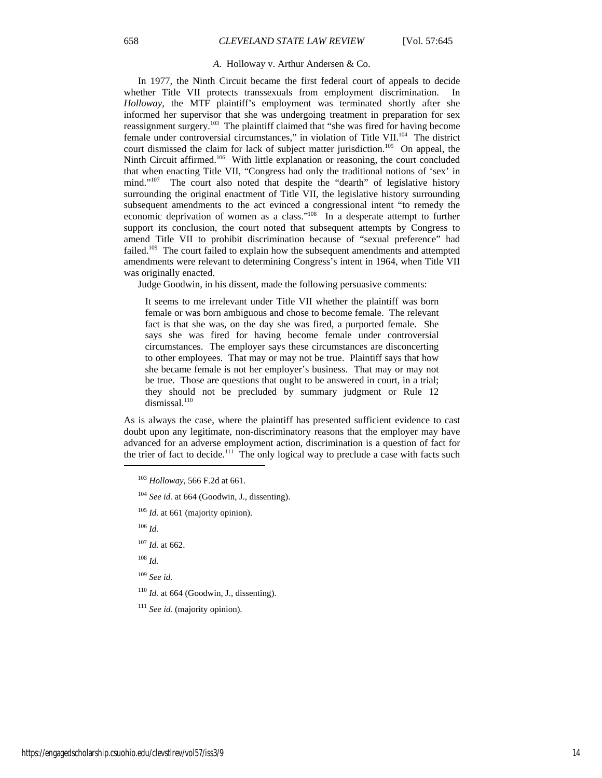#### *A.* Holloway v. Arthur Andersen & Co.

In 1977, the Ninth Circuit became the first federal court of appeals to decide whether Title VII protects transsexuals from employment discrimination. In *Holloway*, the MTF plaintiff's employment was terminated shortly after she informed her supervisor that she was undergoing treatment in preparation for sex reassignment surgery.103 The plaintiff claimed that "she was fired for having become female under controversial circumstances," in violation of Title VII.104 The district court dismissed the claim for lack of subject matter jurisdiction.<sup>105</sup> On appeal, the Ninth Circuit affirmed.<sup>106</sup> With little explanation or reasoning, the court concluded that when enacting Title VII, "Congress had only the traditional notions of 'sex' in mind."<sup>107</sup> The court also noted that despite the "dearth" of legislative history surrounding the original enactment of Title VII, the legislative history surrounding subsequent amendments to the act evinced a congressional intent "to remedy the economic deprivation of women as a class."108 In a desperate attempt to further support its conclusion, the court noted that subsequent attempts by Congress to amend Title VII to prohibit discrimination because of "sexual preference" had failed.<sup>109</sup> The court failed to explain how the subsequent amendments and attempted amendments were relevant to determining Congress's intent in 1964, when Title VII was originally enacted.

Judge Goodwin, in his dissent, made the following persuasive comments:

It seems to me irrelevant under Title VII whether the plaintiff was born female or was born ambiguous and chose to become female. The relevant fact is that she was, on the day she was fired, a purported female. She says she was fired for having become female under controversial circumstances. The employer says these circumstances are disconcerting to other employees. That may or may not be true. Plaintiff says that how she became female is not her employer's business. That may or may not be true. Those are questions that ought to be answered in court, in a trial; they should not be precluded by summary judgment or Rule 12 dismissal.<sup>110</sup>

As is always the case, where the plaintiff has presented sufficient evidence to cast doubt upon any legitimate, non-discriminatory reasons that the employer may have advanced for an adverse employment action, discrimination is a question of fact for the trier of fact to decide.<sup>111</sup> The only logical way to preclude a case with facts such

<sup>106</sup> *Id.*

 $\overline{a}$ 

<sup>109</sup> *See id.*

 $110$  *Id.* at 664 (Goodwin, J., dissenting).

<sup>111</sup> See id. (majority opinion).

<sup>103</sup> *Holloway*, 566 F.2d at 661.

<sup>104</sup> *See id.* at 664 (Goodwin, J., dissenting).

<sup>&</sup>lt;sup>105</sup> *Id.* at 661 (majority opinion).

<sup>107</sup> *Id.* at 662.

<sup>108</sup> *Id.*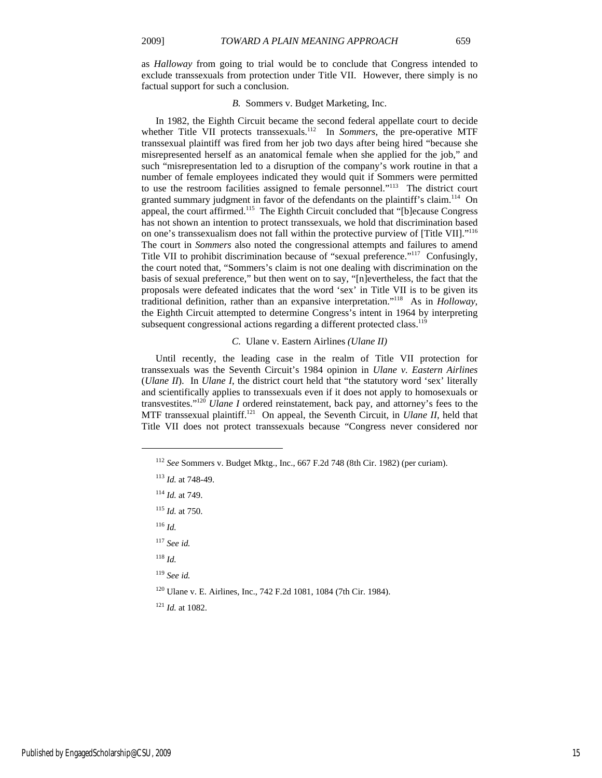as *Halloway* from going to trial would be to conclude that Congress intended to exclude transsexuals from protection under Title VII. However, there simply is no factual support for such a conclusion.

## *B.* Sommers v. Budget Marketing, Inc.

In 1982, the Eighth Circuit became the second federal appellate court to decide whether Title VII protects transsexuals.<sup>112</sup> In *Sommers*, the pre-operative MTF transsexual plaintiff was fired from her job two days after being hired "because she misrepresented herself as an anatomical female when she applied for the job," and such "misrepresentation led to a disruption of the company's work routine in that a number of female employees indicated they would quit if Sommers were permitted to use the restroom facilities assigned to female personnel."113 The district court granted summary judgment in favor of the defendants on the plaintiff's claim.<sup>114</sup> On appeal, the court affirmed.<sup>115</sup> The Eighth Circuit concluded that "[b]ecause Congress has not shown an intention to protect transsexuals, we hold that discrimination based on one's transsexualism does not fall within the protective purview of [Title VII]."116 The court in *Sommers* also noted the congressional attempts and failures to amend Title VII to prohibit discrimination because of "sexual preference."117 Confusingly, the court noted that, "Sommers's claim is not one dealing with discrimination on the basis of sexual preference," but then went on to say, "[n]evertheless, the fact that the proposals were defeated indicates that the word 'sex' in Title VII is to be given its traditional definition, rather than an expansive interpretation."118 As in *Holloway*, the Eighth Circuit attempted to determine Congress's intent in 1964 by interpreting subsequent congressional actions regarding a different protected class.<sup>119</sup>

## *C.* Ulane v. Eastern Airlines *(Ulane II)*

Until recently, the leading case in the realm of Title VII protection for transsexuals was the Seventh Circuit's 1984 opinion in *Ulane v. Eastern Airlines* (*Ulane II*). In *Ulane I*, the district court held that "the statutory word 'sex' literally and scientifically applies to transsexuals even if it does not apply to homosexuals or transvestites."120 *Ulane I* ordered reinstatement, back pay, and attorney's fees to the MTF transsexual plaintiff.<sup>121</sup> On appeal, the Seventh Circuit, in *Ulane II*, held that Title VII does not protect transsexuals because "Congress never considered nor

<sup>115</sup> *Id.* at 750.

<sup>116</sup> *Id.*

l

- <sup>117</sup> *See id.*
- <sup>118</sup> *Id.*
- <sup>119</sup> *See id.*
- 120 Ulane v. E. Airlines, Inc., 742 F.2d 1081, 1084 (7th Cir. 1984).
- <sup>121</sup> *Id.* at 1082.

<sup>112</sup> *See* Sommers v. Budget Mktg., Inc., 667 F.2d 748 (8th Cir. 1982) (per curiam).

<sup>113</sup> *Id.* at 748-49.

<sup>114</sup> *Id.* at 749.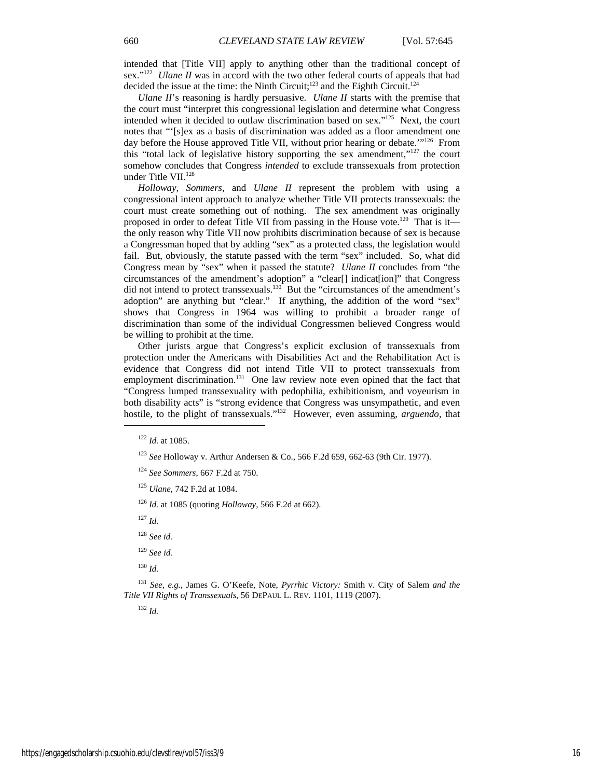intended that [Title VII] apply to anything other than the traditional concept of sex."<sup>122</sup> *Ulane II* was in accord with the two other federal courts of appeals that had decided the issue at the time: the Ninth Circuit;<sup>123</sup> and the Eighth Circuit.<sup>124</sup>

*Ulane II*'s reasoning is hardly persuasive. *Ulane II* starts with the premise that the court must "interpret this congressional legislation and determine what Congress intended when it decided to outlaw discrimination based on sex."<sup>125</sup> Next, the court notes that "'[s]ex as a basis of discrimination was added as a floor amendment one day before the House approved Title VII, without prior hearing or debate.'"<sup>126</sup> From this "total lack of legislative history supporting the sex amendment,"127 the court somehow concludes that Congress *intended* to exclude transsexuals from protection under Title VII. $^{128}$ 

*Holloway*, *Sommers*, and *Ulane II* represent the problem with using a congressional intent approach to analyze whether Title VII protects transsexuals: the court must create something out of nothing. The sex amendment was originally proposed in order to defeat Title VII from passing in the House vote.<sup>129</sup> That is it the only reason why Title VII now prohibits discrimination because of sex is because a Congressman hoped that by adding "sex" as a protected class, the legislation would fail. But, obviously, the statute passed with the term "sex" included. So, what did Congress mean by "sex" when it passed the statute? *Ulane II* concludes from "the circumstances of the amendment's adoption" a "clear[] indicat[ion]" that Congress did not intend to protect transsexuals.<sup>130</sup> But the "circumstances of the amendment's adoption" are anything but "clear." If anything, the addition of the word "sex" shows that Congress in 1964 was willing to prohibit a broader range of discrimination than some of the individual Congressmen believed Congress would be willing to prohibit at the time.

Other jurists argue that Congress's explicit exclusion of transsexuals from protection under the Americans with Disabilities Act and the Rehabilitation Act is evidence that Congress did not intend Title VII to protect transsexuals from employment discrimination.<sup>131</sup> One law review note even opined that the fact that "Congress lumped transsexuality with pedophilia, exhibitionism, and voyeurism in both disability acts" is "strong evidence that Congress was unsympathetic, and even hostile, to the plight of transsexuals."132 However, even assuming, *arguendo*, that  $\overline{a}$ 

<sup>127</sup> *Id.*

- <sup>129</sup> *See id.*
- <sup>130</sup> *Id.*

<sup>131</sup> *See, e.g.*, James G. O'Keefe, Note, *Pyrrhic Victory:* Smith v. City of Salem *and the Title VII Rights of Transsexuals*, 56 DEPAUL L. REV. 1101, 1119 (2007).

<sup>132</sup> *Id.*

<sup>122</sup> *Id.* at 1085.

<sup>123</sup> *See* Holloway v. Arthur Andersen & Co., 566 F.2d 659, 662-63 (9th Cir. 1977).

<sup>124</sup> *See Sommers*, 667 F.2d at 750.

<sup>125</sup> *Ulane*, 742 F.2d at 1084.

<sup>126</sup> *Id.* at 1085 (quoting *Holloway*, 566 F.2d at 662).

<sup>128</sup> *See id.*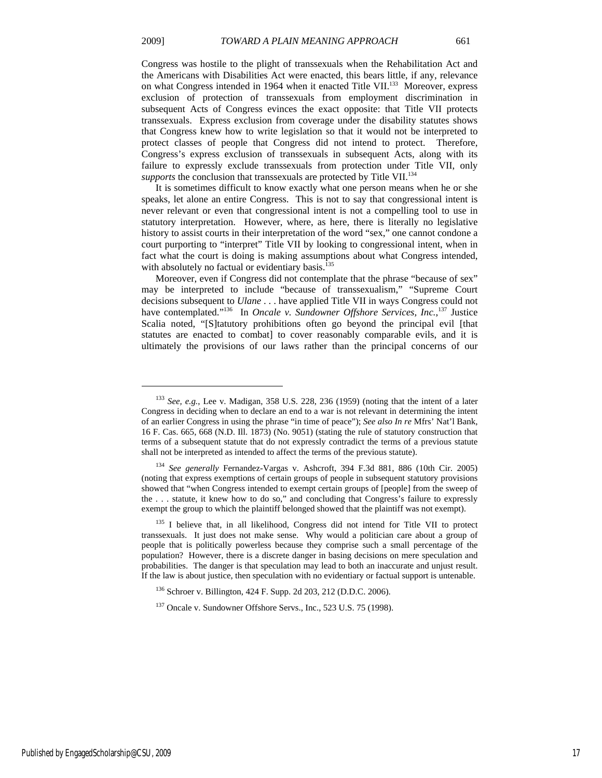$\overline{a}$ 

Congress was hostile to the plight of transsexuals when the Rehabilitation Act and the Americans with Disabilities Act were enacted, this bears little, if any, relevance on what Congress intended in 1964 when it enacted Title VII.<sup>133</sup> Moreover, express exclusion of protection of transsexuals from employment discrimination in subsequent Acts of Congress evinces the exact opposite: that Title VII protects transsexuals. Express exclusion from coverage under the disability statutes shows that Congress knew how to write legislation so that it would not be interpreted to protect classes of people that Congress did not intend to protect. Therefore, Congress's express exclusion of transsexuals in subsequent Acts, along with its failure to expressly exclude transsexuals from protection under Title VII, only *supports* the conclusion that transsexuals are protected by Title VII.<sup>134</sup>

It is sometimes difficult to know exactly what one person means when he or she speaks, let alone an entire Congress. This is not to say that congressional intent is never relevant or even that congressional intent is not a compelling tool to use in statutory interpretation. However, where, as here, there is literally no legislative history to assist courts in their interpretation of the word "sex," one cannot condone a court purporting to "interpret" Title VII by looking to congressional intent, when in fact what the court is doing is making assumptions about what Congress intended, with absolutely no factual or evidentiary basis.<sup>135</sup>

Moreover, even if Congress did not contemplate that the phrase "because of sex" may be interpreted to include "because of transsexualism," "Supreme Court decisions subsequent to *Ulane* . . . have applied Title VII in ways Congress could not have contemplated."<sup>136</sup> In *Oncale v. Sundowner Offshore Services, Inc.*,<sup>137</sup> Justice Scalia noted, "[S]tatutory prohibitions often go beyond the principal evil [that statutes are enacted to combat] to cover reasonably comparable evils, and it is ultimately the provisions of our laws rather than the principal concerns of our

<sup>133</sup> *See, e.g.*, Lee v. Madigan, 358 U.S. 228, 236 (1959) (noting that the intent of a later Congress in deciding when to declare an end to a war is not relevant in determining the intent of an earlier Congress in using the phrase "in time of peace"); *See also In re* Mfrs' Nat'l Bank, 16 F. Cas. 665, 668 (N.D. Ill. 1873) (No. 9051) (stating the rule of statutory construction that terms of a subsequent statute that do not expressly contradict the terms of a previous statute shall not be interpreted as intended to affect the terms of the previous statute).

<sup>134</sup> *See generally* Fernandez-Vargas v. Ashcroft, 394 F.3d 881, 886 (10th Cir. 2005) (noting that express exemptions of certain groups of people in subsequent statutory provisions showed that "when Congress intended to exempt certain groups of [people] from the sweep of the . . . statute, it knew how to do so," and concluding that Congress's failure to expressly exempt the group to which the plaintiff belonged showed that the plaintiff was not exempt).

<sup>&</sup>lt;sup>135</sup> I believe that, in all likelihood, Congress did not intend for Title VII to protect transsexuals. It just does not make sense. Why would a politician care about a group of people that is politically powerless because they comprise such a small percentage of the population? However, there is a discrete danger in basing decisions on mere speculation and probabilities. The danger is that speculation may lead to both an inaccurate and unjust result. If the law is about justice, then speculation with no evidentiary or factual support is untenable.

<sup>136</sup> Schroer v. Billington, 424 F. Supp. 2d 203, 212 (D.D.C. 2006).

<sup>137</sup> Oncale v. Sundowner Offshore Servs., Inc., 523 U.S. 75 (1998).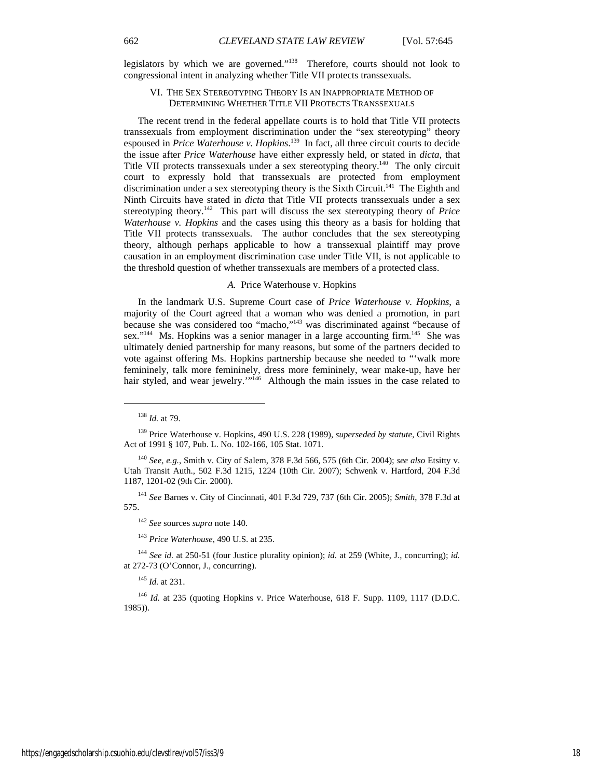legislators by which we are governed."138 Therefore, courts should not look to congressional intent in analyzing whether Title VII protects transsexuals.

## VI. THE SEX STEREOTYPING THEORY IS AN INAPPROPRIATE METHOD OF DETERMINING WHETHER TITLE VII PROTECTS TRANSSEXUALS

The recent trend in the federal appellate courts is to hold that Title VII protects transsexuals from employment discrimination under the "sex stereotyping" theory espoused in *Price Waterhouse v. Hopkins*. 139 In fact, all three circuit courts to decide the issue after *Price Waterhouse* have either expressly held, or stated in *dicta*, that Title VII protects transsexuals under a sex stereotyping theory.<sup>140</sup> The only circuit court to expressly hold that transsexuals are protected from employment discrimination under a sex stereotyping theory is the Sixth Circuit.<sup>141</sup> The Eighth and Ninth Circuits have stated in *dicta* that Title VII protects transsexuals under a sex stereotyping theory.142 This part will discuss the sex stereotyping theory of *Price Waterhouse v. Hopkins* and the cases using this theory as a basis for holding that Title VII protects transsexuals. The author concludes that the sex stereotyping theory, although perhaps applicable to how a transsexual plaintiff may prove causation in an employment discrimination case under Title VII, is not applicable to the threshold question of whether transsexuals are members of a protected class.

## *A.* Price Waterhouse v. Hopkins

In the landmark U.S. Supreme Court case of *Price Waterhouse v. Hopkins*, a majority of the Court agreed that a woman who was denied a promotion, in part because she was considered too "macho,"143 was discriminated against "because of sex."<sup>144</sup> Ms. Hopkins was a senior manager in a large accounting firm.<sup>145</sup> She was ultimately denied partnership for many reasons, but some of the partners decided to vote against offering Ms. Hopkins partnership because she needed to "'walk more femininely, talk more femininely, dress more femininely, wear make-up, have her hair styled, and wear jewelry."<sup>146</sup> Although the main issues in the case related to

<sup>138</sup> *Id.* at 79.

<sup>139</sup> Price Waterhouse v. Hopkins, 490 U.S. 228 (1989), *superseded by statute*, Civil Rights Act of 1991 § 107, Pub. L. No. 102-166, 105 Stat. 1071.

<sup>140</sup> *See, e.g.*, Smith v. City of Salem, 378 F.3d 566, 575 (6th Cir. 2004); *see also* Etsitty v. Utah Transit Auth., 502 F.3d 1215, 1224 (10th Cir. 2007); Schwenk v. Hartford, 204 F.3d 1187, 1201-02 (9th Cir. 2000).

<sup>141</sup> *See* Barnes v. City of Cincinnati, 401 F.3d 729, 737 (6th Cir. 2005); *Smith*, 378 F.3d at 575.

<sup>142</sup> *See* sources *supra* note 140.

<sup>143</sup> *Price Waterhouse*, 490 U.S. at 235.

<sup>144</sup> *See id.* at 250-51 (four Justice plurality opinion); *id.* at 259 (White, J., concurring); *id.*  at 272-73 (O'Connor, J., concurring).

<sup>145</sup> *Id.* at 231.

<sup>146</sup> *Id.* at 235 (quoting Hopkins v. Price Waterhouse, 618 F. Supp. 1109, 1117 (D.D.C. 1985)).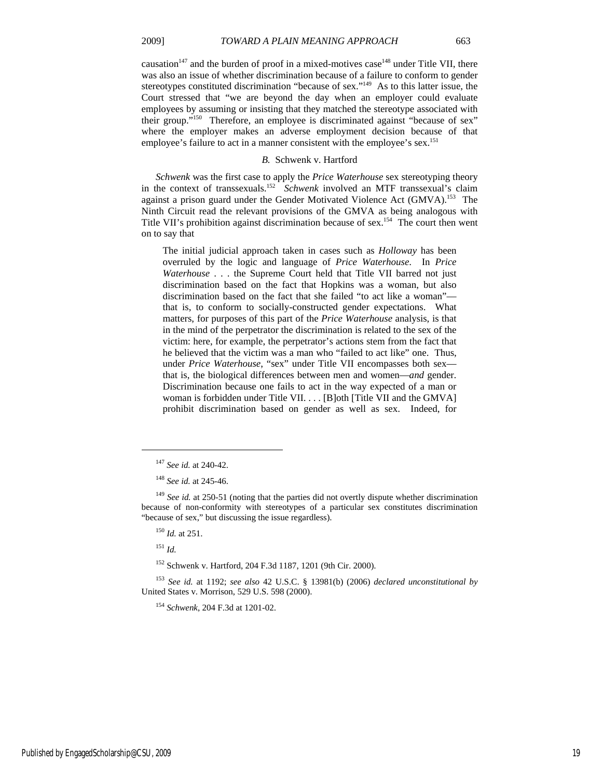causation $147$  and the burden of proof in a mixed-motives case  $148$  under Title VII, there was also an issue of whether discrimination because of a failure to conform to gender stereotypes constituted discrimination "because of sex."<sup>149</sup> As to this latter issue, the Court stressed that "we are beyond the day when an employer could evaluate employees by assuming or insisting that they matched the stereotype associated with their group."150 Therefore, an employee is discriminated against "because of sex" where the employer makes an adverse employment decision because of that employee's failure to act in a manner consistent with the employee's sex.<sup>151</sup>

#### *B.* Schwenk v. Hartford

*Schwenk* was the first case to apply the *Price Waterhouse* sex stereotyping theory in the context of transsexuals.152 *Schwenk* involved an MTF transsexual's claim against a prison guard under the Gender Motivated Violence Act (GMVA).<sup>153</sup> The Ninth Circuit read the relevant provisions of the GMVA as being analogous with Title VII's prohibition against discrimination because of sex.154 The court then went on to say that

The initial judicial approach taken in cases such as *Holloway* has been overruled by the logic and language of *Price Waterhouse*. In *Price Waterhouse* . . . the Supreme Court held that Title VII barred not just discrimination based on the fact that Hopkins was a woman, but also discrimination based on the fact that she failed "to act like a woman" that is, to conform to socially-constructed gender expectations. What matters, for purposes of this part of the *Price Waterhouse* analysis, is that in the mind of the perpetrator the discrimination is related to the sex of the victim: here, for example, the perpetrator's actions stem from the fact that he believed that the victim was a man who "failed to act like" one. Thus, under *Price Waterhouse*, "sex" under Title VII encompasses both sex that is, the biological differences between men and women—*and* gender. Discrimination because one fails to act in the way expected of a man or woman is forbidden under Title VII. . . . [B]oth [Title VII and the GMVA] prohibit discrimination based on gender as well as sex. Indeed, for

<sup>151</sup> *Id.*

 $\overline{a}$ 

152 Schwenk v. Hartford, 204 F.3d 1187, 1201 (9th Cir. 2000).

<sup>147</sup> *See id.* at 240-42.

<sup>148</sup> *See id.* at 245-46.

<sup>&</sup>lt;sup>149</sup> See id. at 250-51 (noting that the parties did not overtly dispute whether discrimination because of non-conformity with stereotypes of a particular sex constitutes discrimination "because of sex," but discussing the issue regardless).

<sup>150</sup> *Id.* at 251.

<sup>153</sup> *See id.* at 1192; *see also* 42 U.S.C. § 13981(b) (2006) *declared unconstitutional by* United States v. Morrison, 529 U.S. 598 (2000).

<sup>154</sup> *Schwenk*, 204 F.3d at 1201-02.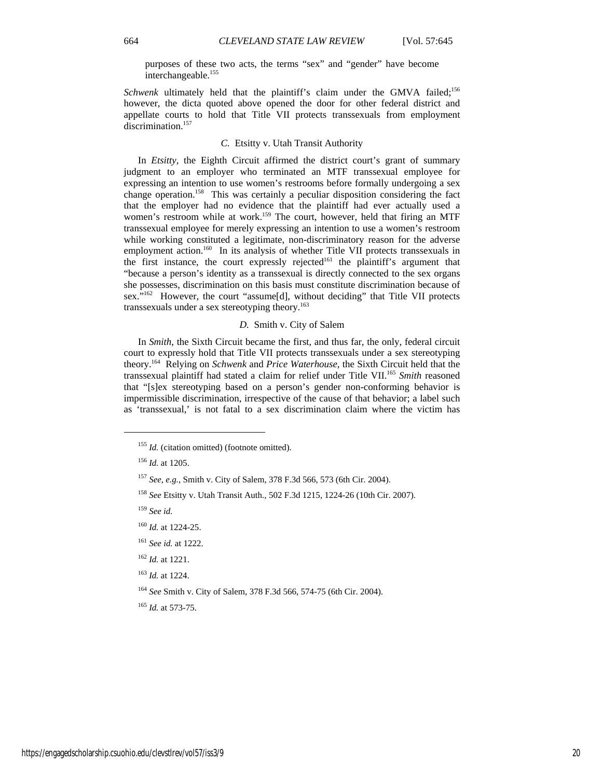purposes of these two acts, the terms "sex" and "gender" have become interchangeable.<sup>155</sup>

Schwenk ultimately held that the plaintiff's claim under the GMVA failed;<sup>156</sup> however, the dicta quoted above opened the door for other federal district and appellate courts to hold that Title VII protects transsexuals from employment discrimination.<sup>157</sup>

## *C.* Etsitty v. Utah Transit Authority

In *Etsitty*, the Eighth Circuit affirmed the district court's grant of summary judgment to an employer who terminated an MTF transsexual employee for expressing an intention to use women's restrooms before formally undergoing a sex change operation.<sup>158</sup> This was certainly a peculiar disposition considering the fact that the employer had no evidence that the plaintiff had ever actually used a women's restroom while at work.<sup>159</sup> The court, however, held that firing an MTF transsexual employee for merely expressing an intention to use a women's restroom while working constituted a legitimate, non-discriminatory reason for the adverse employment action.<sup>160</sup> In its analysis of whether Title VII protects transsexuals in the first instance, the court expressly rejected<sup>161</sup> the plaintiff's argument that "because a person's identity as a transsexual is directly connected to the sex organs she possesses, discrimination on this basis must constitute discrimination because of sex."162 However, the court "assume[d], without deciding" that Title VII protects transsexuals under a sex stereotyping theory.<sup>163</sup>

## *D.* Smith v. City of Salem

In *Smith*, the Sixth Circuit became the first, and thus far, the only, federal circuit court to expressly hold that Title VII protects transsexuals under a sex stereotyping theory.164 Relying on *Schwenk* and *Price Waterhouse*, the Sixth Circuit held that the transsexual plaintiff had stated a claim for relief under Title VII.165 *Smith* reasoned that "[s]ex stereotyping based on a person's gender non-conforming behavior is impermissible discrimination, irrespective of the cause of that behavior; a label such as 'transsexual,' is not fatal to a sex discrimination claim where the victim has

 $\overline{a}$ 

<sup>159</sup> *See id.*

<sup>165</sup> *Id.* at 573-75.

<sup>&</sup>lt;sup>155</sup> *Id.* (citation omitted) (footnote omitted).

<sup>156</sup> *Id.* at 1205.

<sup>157</sup> *See, e.g.*, Smith v. City of Salem, 378 F.3d 566, 573 (6th Cir. 2004).

<sup>158</sup> *See* Etsitty v. Utah Transit Auth., 502 F.3d 1215, 1224-26 (10th Cir. 2007).

<sup>160</sup> *Id.* at 1224-25.

<sup>161</sup> *See id.* at 1222.

<sup>162</sup> *Id.* at 1221.

<sup>163</sup> *Id.* at 1224.

<sup>164</sup> *See* Smith v. City of Salem, 378 F.3d 566, 574-75 (6th Cir. 2004).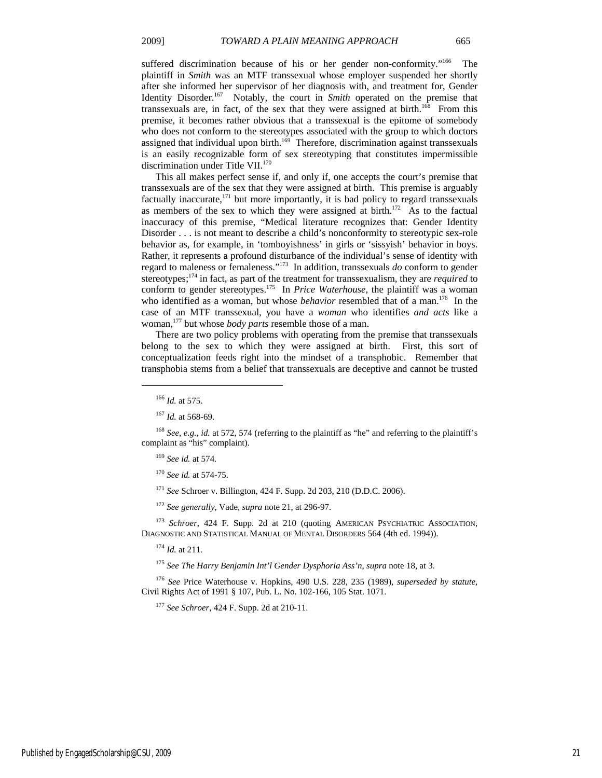suffered discrimination because of his or her gender non-conformity."<sup>166</sup> The plaintiff in *Smith* was an MTF transsexual whose employer suspended her shortly after she informed her supervisor of her diagnosis with, and treatment for, Gender Identity Disorder.<sup>167</sup> Notably, the court in *Smith* operated on the premise that transsexuals are, in fact, of the sex that they were assigned at birth.<sup>168</sup> From this premise, it becomes rather obvious that a transsexual is the epitome of somebody who does not conform to the stereotypes associated with the group to which doctors assigned that individual upon birth.<sup>169</sup> Therefore, discrimination against transsexuals is an easily recognizable form of sex stereotyping that constitutes impermissible discrimination under Title VII.<sup>170</sup>

This all makes perfect sense if, and only if, one accepts the court's premise that transsexuals are of the sex that they were assigned at birth. This premise is arguably factually inaccurate, $171$  but more importantly, it is bad policy to regard transsexuals as members of the sex to which they were assigned at birth.<sup>172</sup> As to the factual inaccuracy of this premise, "Medical literature recognizes that: Gender Identity Disorder . . . is not meant to describe a child's nonconformity to stereotypic sex-role behavior as, for example, in 'tomboyishness' in girls or 'sissyish' behavior in boys. Rather, it represents a profound disturbance of the individual's sense of identity with regard to maleness or femaleness."173 In addition, transsexuals *do* conform to gender stereotypes;174 in fact, as part of the treatment for transsexualism, they are *required* to conform to gender stereotypes.<sup>175</sup> In *Price Waterhouse*, the plaintiff was a woman who identified as a woman, but whose *behavior* resembled that of a man.<sup>176</sup> In the case of an MTF transsexual, you have a *woman* who identifies *and acts* like a woman,177 but whose *body parts* resemble those of a man.

There are two policy problems with operating from the premise that transsexuals belong to the sex to which they were assigned at birth. First, this sort of conceptualization feeds right into the mindset of a transphobic. Remember that transphobia stems from a belief that transsexuals are deceptive and cannot be trusted

 $\overline{a}$ 

<sup>171</sup> *See* Schroer v. Billington, 424 F. Supp. 2d 203, 210 (D.D.C. 2006).

<sup>172</sup> *See generally*, Vade, *supra* note 21, at 296-97.

<sup>173</sup> *Schroer*, 424 F. Supp. 2d at 210 (quoting AMERICAN PSYCHIATRIC ASSOCIATION, DIAGNOSTIC AND STATISTICAL MANUAL OF MENTAL DISORDERS 564 (4th ed. 1994)).

<sup>174</sup> *Id.* at 211.

<sup>175</sup> *See The Harry Benjamin Int'l Gender Dysphoria Ass'n*, *supra* note 18, at 3.

<sup>176</sup> *See* Price Waterhouse v. Hopkins, 490 U.S. 228, 235 (1989), *superseded by statute*, Civil Rights Act of 1991 § 107, Pub. L. No. 102-166, 105 Stat. 1071.

<sup>177</sup> *See Schroer*, 424 F. Supp. 2d at 210-11.

<sup>166</sup> *Id.* at 575.

<sup>167</sup> *Id.* at 568-69.

<sup>168</sup> *See, e.g.*, *id.* at 572, 574 (referring to the plaintiff as "he" and referring to the plaintiff's complaint as "his" complaint).

<sup>169</sup> *See id.* at 574.

<sup>170</sup> *See id.* at 574-75.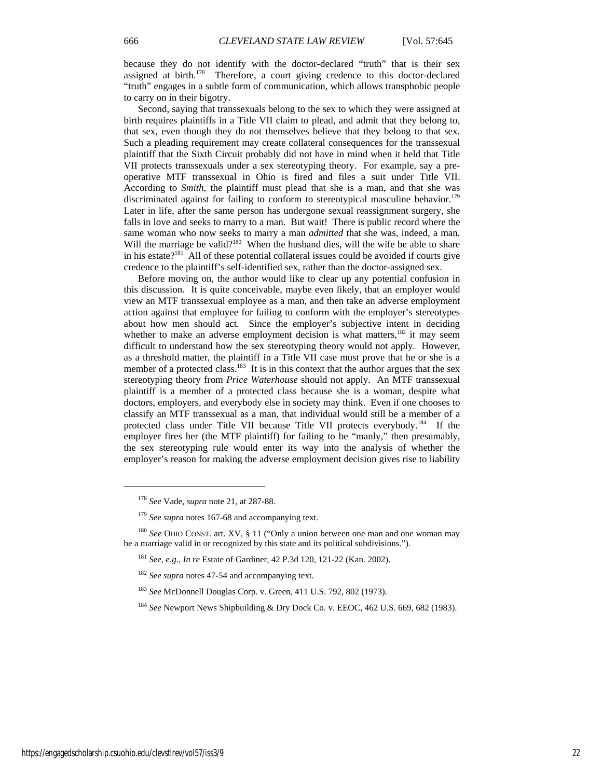because they do not identify with the doctor-declared "truth" that is their sex assigned at birth.<sup>178</sup> Therefore, a court giving credence to this doctor-declared "truth" engages in a subtle form of communication, which allows transphobic people to carry on in their bigotry.

Second, saying that transsexuals belong to the sex to which they were assigned at birth requires plaintiffs in a Title VII claim to plead, and admit that they belong to, that sex, even though they do not themselves believe that they belong to that sex. Such a pleading requirement may create collateral consequences for the transsexual plaintiff that the Sixth Circuit probably did not have in mind when it held that Title VII protects transsexuals under a sex stereotyping theory. For example, say a preoperative MTF transsexual in Ohio is fired and files a suit under Title VII. According to *Smith*, the plaintiff must plead that she is a man, and that she was discriminated against for failing to conform to stereotypical masculine behavior.<sup>179</sup> Later in life, after the same person has undergone sexual reassignment surgery, she falls in love and seeks to marry to a man. But wait! There is public record where the same woman who now seeks to marry a man *admitted* that she was, indeed, a man. Will the marriage be valid?<sup>180</sup> When the husband dies, will the wife be able to share in his estate?<sup>181</sup> All of these potential collateral issues could be avoided if courts give credence to the plaintiff's self-identified sex, rather than the doctor-assigned sex.

Before moving on, the author would like to clear up any potential confusion in this discussion. It is quite conceivable, maybe even likely, that an employer would view an MTF transsexual employee as a man, and then take an adverse employment action against that employee for failing to conform with the employer's stereotypes about how men should act. Since the employer's subjective intent in deciding whether to make an adverse employment decision is what matters, $182$  it may seem difficult to understand how the sex stereotyping theory would not apply. However, as a threshold matter, the plaintiff in a Title VII case must prove that he or she is a member of a protected class.<sup>183</sup> It is in this context that the author argues that the sex stereotyping theory from *Price Waterhouse* should not apply. An MTF transsexual plaintiff is a member of a protected class because she is a woman, despite what doctors, employers, and everybody else in society may think. Even if one chooses to classify an MTF transsexual as a man, that individual would still be a member of a protected class under Title VII because Title VII protects everybody.<sup>184</sup> If the employer fires her (the MTF plaintiff) for failing to be "manly," then presumably, the sex stereotyping rule would enter its way into the analysis of whether the employer's reason for making the adverse employment decision gives rise to liability

<sup>178</sup> *See* Vade, *supra* note 21, at 287-88.

<sup>179</sup> *See supra* notes 167-68 and accompanying text.

<sup>180</sup> *See* OHIO CONST. art. XV, § 11 ("Only a union between one man and one woman may be a marriage valid in or recognized by this state and its political subdivisions.").

<sup>181</sup> *See, e.g.*, *In re* Estate of Gardiner, 42 P.3d 120, 121-22 (Kan. 2002).

<sup>182</sup> *See supra* notes 47-54 and accompanying text.

<sup>183</sup> *See* McDonnell Douglas Corp. v. Green, 411 U.S. 792, 802 (1973).

<sup>184</sup> *See* Newport News Shipbuilding & Dry Dock Co. v. EEOC, 462 U.S. 669, 682 (1983).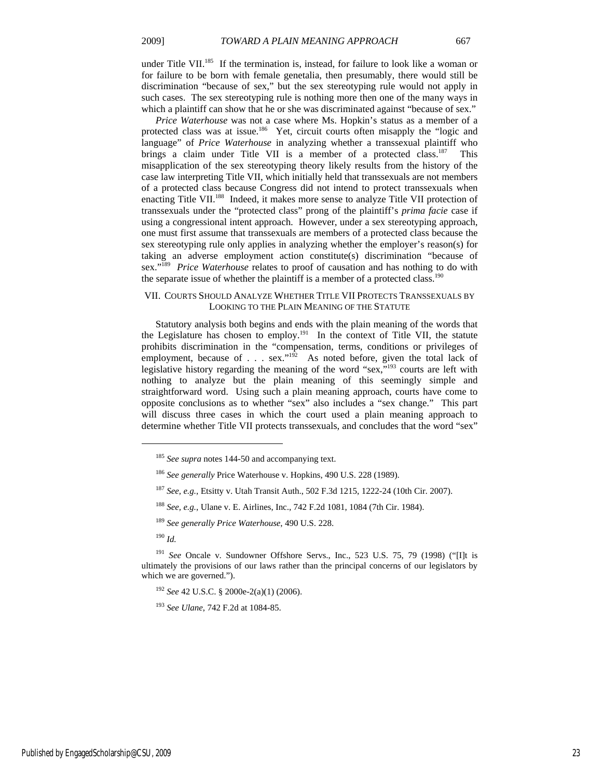under Title VII. $^{185}$  If the termination is, instead, for failure to look like a woman or for failure to be born with female genetalia, then presumably, there would still be discrimination "because of sex," but the sex stereotyping rule would not apply in such cases. The sex stereotyping rule is nothing more then one of the many ways in which a plaintiff can show that he or she was discriminated against "because of sex."

*Price Waterhouse* was not a case where Ms. Hopkin's status as a member of a protected class was at issue.<sup>186</sup> Yet, circuit courts often misapply the "logic and language" of *Price Waterhouse* in analyzing whether a transsexual plaintiff who brings a claim under Title VII is a member of a protected class.<sup>187</sup> This misapplication of the sex stereotyping theory likely results from the history of the case law interpreting Title VII, which initially held that transsexuals are not members of a protected class because Congress did not intend to protect transsexuals when enacting Title VII.<sup>188</sup> Indeed, it makes more sense to analyze Title VII protection of transsexuals under the "protected class" prong of the plaintiff's *prima facie* case if using a congressional intent approach. However, under a sex stereotyping approach, one must first assume that transsexuals are members of a protected class because the sex stereotyping rule only applies in analyzing whether the employer's reason(s) for taking an adverse employment action constitute(s) discrimination "because of sex."189 *Price Waterhouse* relates to proof of causation and has nothing to do with the separate issue of whether the plaintiff is a member of a protected class.<sup>190</sup>

## VII. COURTS SHOULD ANALYZE WHETHER TITLE VII PROTECTS TRANSSEXUALS BY LOOKING TO THE PLAIN MEANING OF THE STATUTE

Statutory analysis both begins and ends with the plain meaning of the words that the Legislature has chosen to employ.<sup>191</sup> In the context of Title VII, the statute prohibits discrimination in the "compensation, terms, conditions or privileges of employment, because of . . . sex."<sup>192</sup> As noted before, given the total lack of legislative history regarding the meaning of the word "sex,"193 courts are left with nothing to analyze but the plain meaning of this seemingly simple and straightforward word. Using such a plain meaning approach, courts have come to opposite conclusions as to whether "sex" also includes a "sex change." This part will discuss three cases in which the court used a plain meaning approach to determine whether Title VII protects transsexuals, and concludes that the word "sex"

<sup>190</sup> *Id.*

<sup>185</sup> *See supra* notes 144-50 and accompanying text.

<sup>186</sup> *See generally* Price Waterhouse v. Hopkins, 490 U.S. 228 (1989).

<sup>187</sup> *See, e.g.*, Etsitty v. Utah Transit Auth., 502 F.3d 1215, 1222-24 (10th Cir. 2007).

<sup>188</sup> *See, e.g.*, Ulane v. E. Airlines, Inc., 742 F.2d 1081, 1084 (7th Cir. 1984).

<sup>189</sup> *See generally Price Waterhouse*, 490 U.S. 228.

<sup>191</sup> *See* Oncale v. Sundowner Offshore Servs., Inc., 523 U.S. 75, 79 (1998) ("[I]t is ultimately the provisions of our laws rather than the principal concerns of our legislators by which we are governed.").

<sup>192</sup> *See* 42 U.S.C. § 2000e-2(a)(1) (2006).

<sup>193</sup> *See Ulane*, 742 F.2d at 1084-85.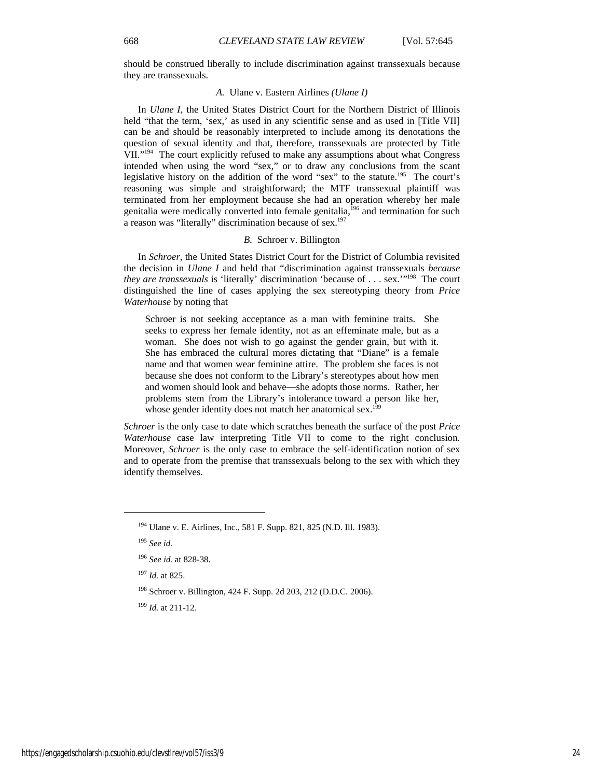should be construed liberally to include discrimination against transsexuals because they are transsexuals.

## *A.* Ulane v. Eastern Airlines *(Ulane I)*

In *Ulane I*, the United States District Court for the Northern District of Illinois held "that the term, 'sex,' as used in any scientific sense and as used in [Title VII] can be and should be reasonably interpreted to include among its denotations the question of sexual identity and that, therefore, transsexuals are protected by Title VII."<sup>194</sup> The court explicitly refused to make any assumptions about what Congress intended when using the word "sex," or to draw any conclusions from the scant legislative history on the addition of the word "sex" to the statute.<sup>195</sup> The court's reasoning was simple and straightforward; the MTF transsexual plaintiff was terminated from her employment because she had an operation whereby her male genitalia were medically converted into female genitalia, $^{196}$  and termination for such a reason was "literally" discrimination because of sex.<sup>197</sup>

## *B.* Schroer v. Billington

In *Schroer*, the United States District Court for the District of Columbia revisited the decision in *Ulane I* and held that "discrimination against transsexuals *because they are transsexuals* is 'literally' discrimination 'because of . . . sex.'"<sup>198</sup> The court distinguished the line of cases applying the sex stereotyping theory from *Price Waterhouse* by noting that

Schroer is not seeking acceptance as a man with feminine traits. She seeks to express her female identity, not as an effeminate male, but as a woman. She does not wish to go against the gender grain, but with it. She has embraced the cultural mores dictating that "Diane" is a female name and that women wear feminine attire. The problem she faces is not because she does not conform to the Library's stereotypes about how men and women should look and behave—she adopts those norms. Rather, her problems stem from the Library's intolerance toward a person like her, whose gender identity does not match her anatomical sex.<sup>199</sup>

*Schroer* is the only case to date which scratches beneath the surface of the post *Price Waterhouse* case law interpreting Title VII to come to the right conclusion. Moreover, *Schroer* is the only case to embrace the self-identification notion of sex and to operate from the premise that transsexuals belong to the sex with which they identify themselves.

<sup>194</sup> Ulane v. E. Airlines, Inc., 581 F. Supp. 821, 825 (N.D. Ill. 1983).

<sup>195</sup> *See id.*

<sup>196</sup> *See id.* at 828-38.

<sup>197</sup> *Id.* at 825.

<sup>198</sup> Schroer v. Billington, 424 F. Supp. 2d 203, 212 (D.D.C. 2006).

<sup>199</sup> *Id.* at 211-12.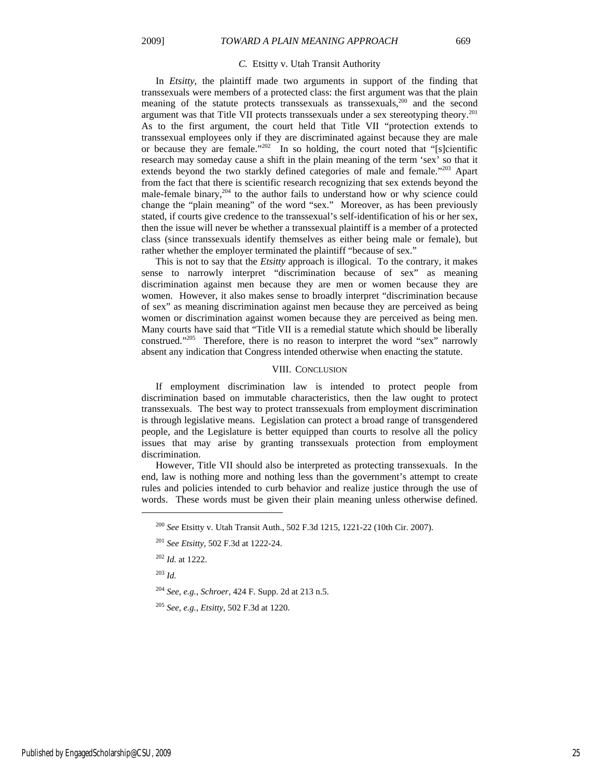#### *C.* Etsitty v. Utah Transit Authority

In *Etsitty*, the plaintiff made two arguments in support of the finding that transsexuals were members of a protected class: the first argument was that the plain meaning of the statute protects transsexuals as transsexuals,<sup>200</sup> and the second argument was that Title VII protects transsexuals under a sex stereotyping theory.201 As to the first argument, the court held that Title VII "protection extends to transsexual employees only if they are discriminated against because they are male or because they are female." $202$  In so holding, the court noted that "[s]cientific research may someday cause a shift in the plain meaning of the term 'sex' so that it extends beyond the two starkly defined categories of male and female."<sup>203</sup> Apart from the fact that there is scientific research recognizing that sex extends beyond the male-female binary, $204$  to the author fails to understand how or why science could change the "plain meaning" of the word "sex." Moreover, as has been previously stated, if courts give credence to the transsexual's self-identification of his or her sex, then the issue will never be whether a transsexual plaintiff is a member of a protected class (since transsexuals identify themselves as either being male or female), but rather whether the employer terminated the plaintiff "because of sex."

This is not to say that the *Etsitty* approach is illogical. To the contrary, it makes sense to narrowly interpret "discrimination because of sex" as meaning discrimination against men because they are men or women because they are women. However, it also makes sense to broadly interpret "discrimination because of sex" as meaning discrimination against men because they are perceived as being women or discrimination against women because they are perceived as being men. Many courts have said that "Title VII is a remedial statute which should be liberally construed."205 Therefore, there is no reason to interpret the word "sex" narrowly absent any indication that Congress intended otherwise when enacting the statute.

#### VIII. CONCLUSION

If employment discrimination law is intended to protect people from discrimination based on immutable characteristics, then the law ought to protect transsexuals. The best way to protect transsexuals from employment discrimination is through legislative means. Legislation can protect a broad range of transgendered people, and the Legislature is better equipped than courts to resolve all the policy issues that may arise by granting transsexuals protection from employment discrimination.

However, Title VII should also be interpreted as protecting transsexuals. In the end, law is nothing more and nothing less than the government's attempt to create rules and policies intended to curb behavior and realize justice through the use of words. These words must be given their plain meaning unless otherwise defined.

<sup>203</sup> *Id.*

 $\overline{a}$ 

<sup>204</sup> *See, e.g.*, *Schroer*, 424 F. Supp. 2d at 213 n.5.

<sup>200</sup> *See* Etsitty v. Utah Transit Auth., 502 F.3d 1215, 1221-22 (10th Cir. 2007).

<sup>201</sup> *See Etsitty*, 502 F.3d at 1222-24.

<sup>202</sup> *Id.* at 1222.

<sup>205</sup> *See, e.g.*, *Etsitty*, 502 F.3d at 1220.